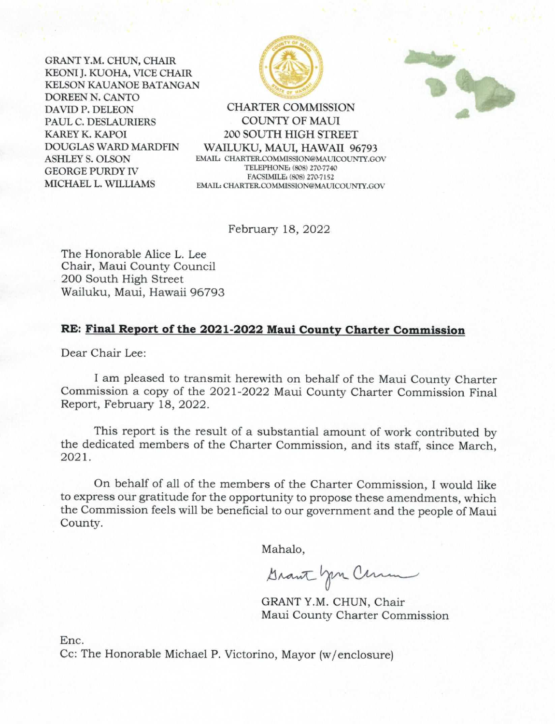GRANT Y.M. CHUN, CHAIR KEONI J. KUOHA, VICE CHAIR **KELSON KAUANOE BATANGAN** DOREEN N. CANTO DAVID P. DELEON PAUL C. DESLAURIERS **KAREY K. KAPOI DOUGLAS WARD MARDEIN ASHLEY S. OLSON GEORGE PURDY IV** MICHAEL L. WILLIAMS





**CHARTER COMMISSION COUNTY OF MAUI 200 SOUTH HIGH STREET** WAILUKU, MAUI, HAWAII 96793 EMAIL: CHARTER.COMMISSION@MAUICOUNTY.GOV TELEPHONE: (808) 270-7740 FACSIMILE: (808) 270-7152 EMAIL: CHARTER.COMMISSION@MAUICOUNTY.GOV

February 18, 2022

The Honorable Alice L. Lee Chair, Maui County Council 200 South High Street Wailuku, Maui, Hawaii 96793

#### RE: Final Report of the 2021-2022 Maui County Charter Commission

Dear Chair Lee:

I am pleased to transmit herewith on behalf of the Maui County Charter Commission a copy of the 2021-2022 Maui County Charter Commission Final Report, February 18, 2022.

This report is the result of a substantial amount of work contributed by the dedicated members of the Charter Commission, and its staff, since March, 2021.

On behalf of all of the members of the Charter Commission, I would like to express our gratitude for the opportunity to propose these amendments, which the Commission feels will be beneficial to our government and the people of Maui County.

Mahalo,

Grant you Comme

GRANT Y.M. CHUN, Chair Maui County Charter Commission

Enc.

Cc: The Honorable Michael P. Victorino, Mayor (w/enclosure)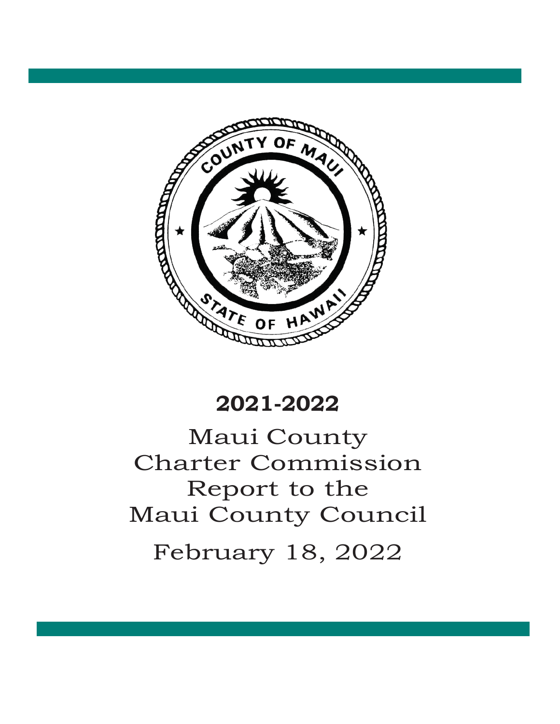

# Maui County Charter Commission Report to the Maui County Council February 18, 2022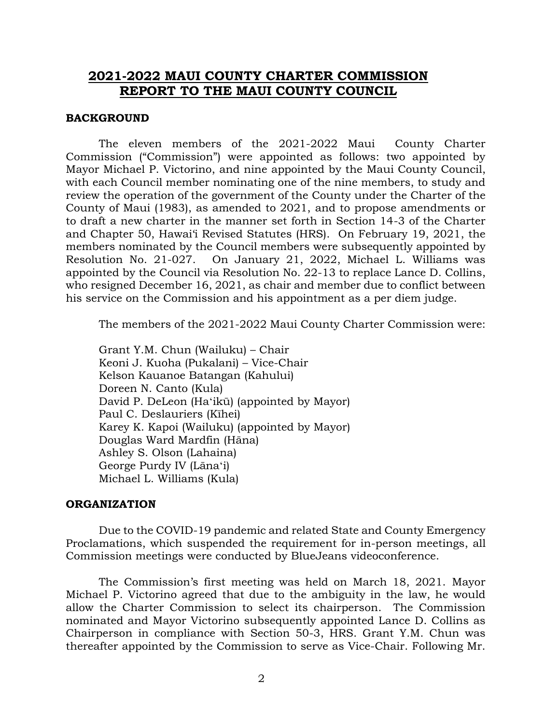# **2021-2022 MAUI COUNTY CHARTER COMMISSION REPORT TO THE MAUI COUNTY COUNCIL**

#### **BACKGROUND**

The eleven members of the 2021-2022 Maui County Charter Commission ("Commission") were appointed as follows: two appointed by Mayor Michael P. Victorino, and nine appointed by the Maui County Council, with each Council member nominating one of the nine members, to study and review the operation of the government of the County under the Charter of the County of Maui (1983), as amended to 2021, and to propose amendments or to draft a new charter in the manner set forth in Section 14-3 of the Charter and Chapter 50, Hawai'i Revised Statutes (HRS). On February 19, 2021, the members nominated by the Council members were subsequently appointed by Resolution No. 21-027. On January 21, 2022, Michael L. Williams was appointed by the Council via Resolution No. 22-13 to replace Lance D. Collins, who resigned December 16, 2021, as chair and member due to conflict between his service on the Commission and his appointment as a per diem judge.

The members of the 2021-2022 Maui County Charter Commission were:

Grant Y.M. Chun (Wailuku) – Chair Keoni J. Kuoha (Pukalani) – Vice-Chair Kelson Kauanoe Batangan (Kahului) Doreen N. Canto (Kula) David P. DeLeon (Haʻikū) (appointed by Mayor) Paul C. Deslauriers (Kīhei) Karey K. Kapoi (Wailuku) (appointed by Mayor) Douglas Ward Mardfin (Hāna) Ashley S. Olson (Lahaina) George Purdy IV (Lānaʻi) Michael L. Williams (Kula)

#### **ORGANIZATION**

Due to the COVID-19 pandemic and related State and County Emergency Proclamations, which suspended the requirement for in-person meetings, all Commission meetings were conducted by BlueJeans videoconference.

The Commission's first meeting was held on March 18, 2021. Mayor Michael P. Victorino agreed that due to the ambiguity in the law, he would allow the Charter Commission to select its chairperson. The Commission nominated and Mayor Victorino subsequently appointed Lance D. Collins as Chairperson in compliance with Section 50-3, HRS. Grant Y.M. Chun was thereafter appointed by the Commission to serve as Vice-Chair. Following Mr.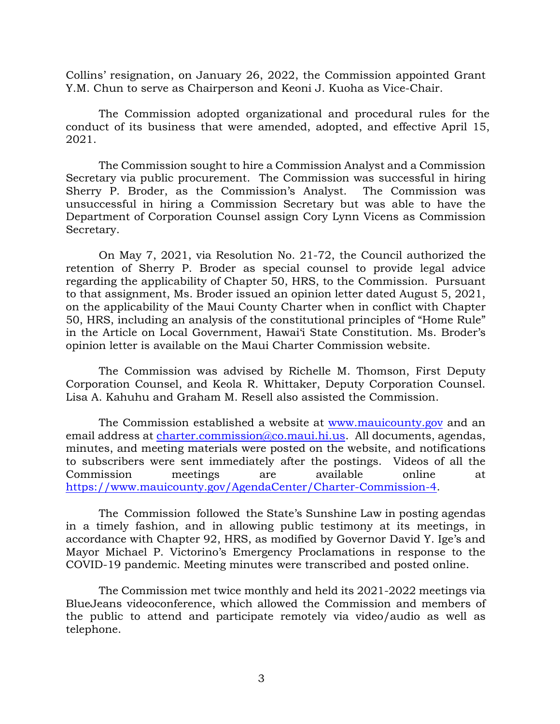Collins' resignation, on January 26, 2022, the Commission appointed Grant Y.M. Chun to serve as Chairperson and Keoni J. Kuoha as Vice-Chair.

The Commission adopted organizational and procedural rules for the conduct of its business that were amended, adopted, and effective April 15, 2021.

The Commission sought to hire a Commission Analyst and a Commission Secretary via public procurement. The Commission was successful in hiring Sherry P. Broder, as the Commission's Analyst. The Commission was unsuccessful in hiring a Commission Secretary but was able to have the Department of Corporation Counsel assign Cory Lynn Vicens as Commission Secretary.

On May 7, 2021, via Resolution No. 21-72, the Council authorized the retention of Sherry P. Broder as special counsel to provide legal advice regarding the applicability of Chapter 50, HRS, to the Commission. Pursuant to that assignment, Ms. Broder issued an opinion letter dated August 5, 2021, on the applicability of the Maui County Charter when in conflict with Chapter 50, HRS, including an analysis of the constitutional principles of "Home Rule" in the Article on Local Government, Hawai'i State Constitution. Ms. Broder's opinion letter is available on the Maui Charter Commission website.

The Commission was advised by Richelle M. Thomson, First Deputy Corporation Counsel, and Keola R. Whittaker, Deputy Corporation Counsel. Lisa A. Kahuhu and Graham M. Resell also assisted the Commission.

The Commission established a website at [www.mauicounty.gov](about:blank) and an email address at [charter.commission@co.maui.hi.us.](about:blank) All documents, agendas, minutes, and meeting materials were posted on the website, and notifications to subscribers were sent immediately after the postings. Videos of all the Commission meetings are available online at [https://www.mauicounty.gov/AgendaCenter/Charter-Commission-4.](about:blank)

The Commission followed the State's Sunshine Law in posting agendas in a timely fashion, and in allowing public testimony at its meetings, in accordance with Chapter 92, HRS, as modified by Governor David Y. Ige's and Mayor Michael P. Victorino's Emergency Proclamations in response to the COVID-19 pandemic. Meeting minutes were transcribed and posted online.

The Commission met twice monthly and held its 2021-2022 meetings via BlueJeans videoconference, which allowed the Commission and members of the public to attend and participate remotely via video/audio as well as telephone.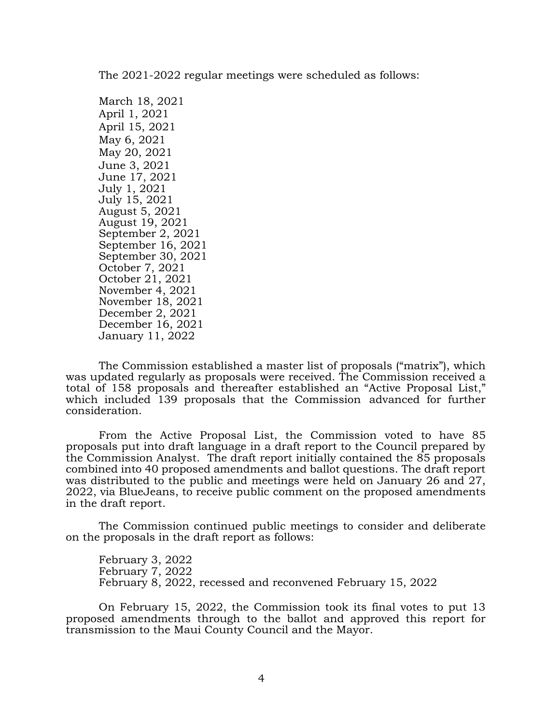The 2021-2022 regular meetings were scheduled as follows:

March 18, 2021 April 1, 2021 April 15, 2021 May 6, 2021 May 20, 2021 June 3, 2021 June 17, 2021 July 1, 2021 July 15, 2021 August 5, 2021 August 19, 2021 September 2, 2021 September 16, 2021 September 30, 2021 October 7, 2021 October 21, 2021 November 4, 2021 November 18, 2021 December 2, 2021 December 16, 2021 January 11, 2022

The Commission established a master list of proposals ("matrix"), which was updated regularly as proposals were received. The Commission received a total of 158 proposals and thereafter established an "Active Proposal List," which included 139 proposals that the Commission advanced for further consideration.

From the Active Proposal List, the Commission voted to have 85 proposals put into draft language in a draft report to the Council prepared by the Commission Analyst. The draft report initially contained the 85 proposals combined into 40 proposed amendments and ballot questions. The draft report was distributed to the public and meetings were held on January 26 and 27, 2022, via BlueJeans, to receive public comment on the proposed amendments in the draft report.

The Commission continued public meetings to consider and deliberate on the proposals in the draft report as follows:

February 3, 2022 February 7, 2022 February 8, 2022, recessed and reconvened February 15, 2022

On February 15, 2022, the Commission took its final votes to put 13 proposed amendments through to the ballot and approved this report for transmission to the Maui County Council and the Mayor.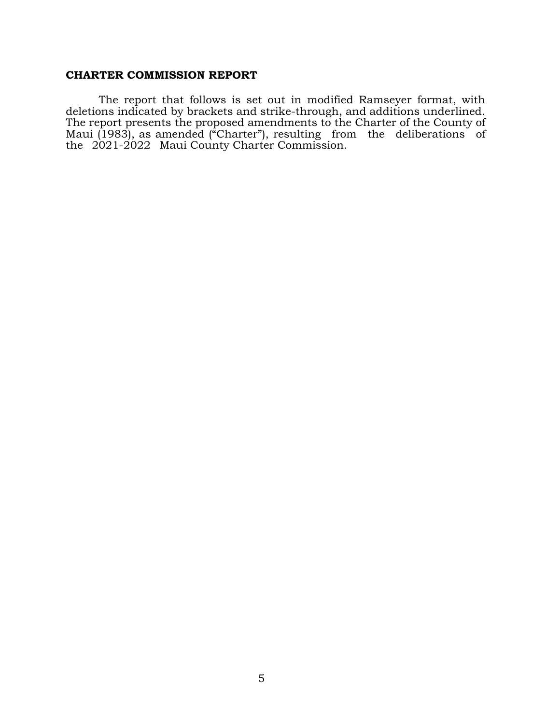#### **CHARTER COMMISSION REPORT**

The report that follows is set out in modified Ramseyer format, with deletions indicated by brackets and strike-through, and additions underlined. The report presents the proposed amendments to the Charter of the County of Maui (1983), as amended ("Charter"), resulting from the deliberations of the 2021-2022 Maui County Charter Commission.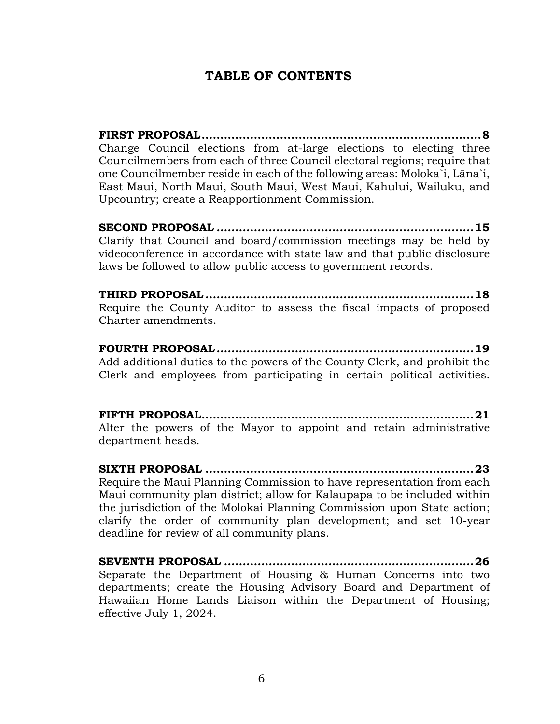# **TABLE OF CONTENTS**

**FIRST [PROPOSAL...........................................................................8](#page-8-0)** [Change Council elections from at-large elections to electing three](#page-8-1)  [Councilmembers from each of three Council electoral regions; require that](#page-8-1)  [one Councilmember reside in each of the fol](#page-8-1)lowing areas: Moloka`i, Lāna`i, [East Maui, North Maui, South Maui, West Maui, Kahului, Wailuku, and](#page-8-1)  [Upcountry; create a Reapportionment Commission.](#page-8-1)

**SECOND PROPOSAL [.....................................................................15](#page-15-0)** [Clarify that Council and board/commission meetings may be held by](#page-15-1)  [videoconference in accordance with state law and that public disclosure](#page-15-1)  [laws be followed to allow public access to government records.](#page-15-1)

**THIRD [PROPOSAL........................................................................18](#page-18-0)** [Require the County Auditor to assess the fiscal impacts of proposed](#page-18-1)  [Charter amendments.](#page-18-1)

**FOURTH [PROPOSAL.....................................................................19](#page-19-0)** [Add additional duties to the powers of the County Clerk, and prohibit the](#page-19-1)  [Clerk and employees from participating in certain political activities.](#page-19-1)

**FIFTH [PROPOSAL.........................................................................21](#page-21-0)** [Alter the powers of the Mayor to appoint and retain administrative](#page-21-1)  [department heads.](#page-21-1)

**SIXTH PROPOSAL [........................................................................23](#page-23-0)** [Require the Maui Planning Commission to have representation from each](#page-23-1)  [Maui community plan district; allow for Kalaupapa to be included within](#page-23-1)  [the jurisdiction of the Molokai Planning Commission upon State action;](#page-23-1)  [clarify the order of community plan development; and set 10-year](#page-23-1)  [deadline for review of all community plans.](#page-23-1)

**SEVENTH PROPOSAL [...................................................................26](#page-26-0)** [Separate the Department of Housing & Human Concerns into two](#page-26-1)  [departments; create the Housing Advisory Board and Department of](#page-26-1)  [Hawaiian Home Lands Liaison within the Department of Housing;](#page-26-1)  [effective July 1, 2024.](#page-26-1)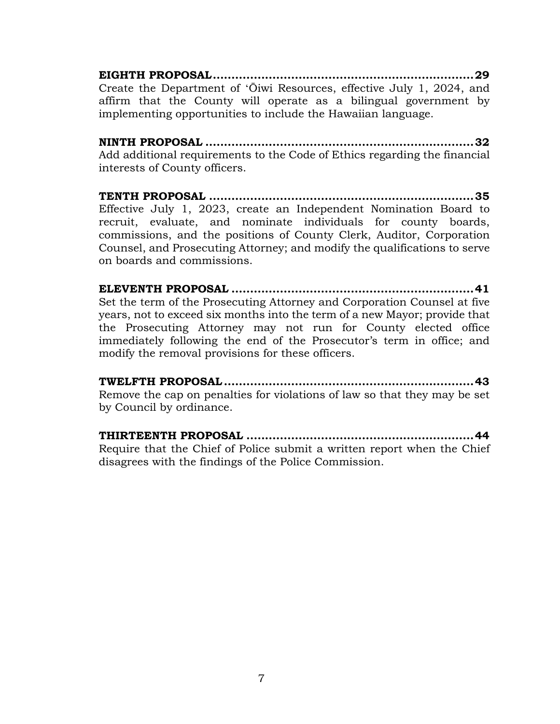**EIGHTH [PROPOSAL......................................................................29](#page-29-0)** Create the Department of ʻŌ[iwi Resources, effective July 1, 2024, and](#page-29-1)  [affirm that the County will operate as a bilingual government by](#page-29-1)  [implementing opportunities to include the Hawaiian language.](#page-29-1)

**NINTH PROPOSAL [........................................................................32](#page-32-0)** [Add additional requirements to the Code of Ethics regarding the financial](#page-32-1)  [interests of County officers.](#page-32-1)

**TENTH PROPOSAL [.......................................................................35](#page-35-0)** [Effective July 1, 2023, create an Independent Nomination Board to](#page-35-1)  [recruit, evaluate, and nominate individuals for county boards,](#page-35-1)  [commissions, and the positions of County Clerk, Auditor, Corporation](#page-35-1)  [Counsel, and Prosecuting Attorney; and modify the qualifications to serve](#page-35-1)  [on boards and commissions.](#page-35-1)

**ELEVENTH PROPOSAL [.................................................................41](#page-41-0)** [Set the term of the Prosecuting Attorney and Corporation Counsel at five](#page-41-1)  [years, not to exceed six months into the term of a new Mayor; provide that](#page-41-1)  [the Prosecuting Attorney may not run for County elected office](#page-41-1)  immediate[ly following the end of the Prosecutor's term in office; and](#page-41-1)  [modify the removal provisions for these officers.](#page-41-1)

**TWELFTH [PROPOSAL...................................................................43](#page-43-0)** [Remove the cap on penalties for violations of law so that they may be set](#page-43-1)  [by Council by ordinance.](#page-43-1)

**THIRTEENTH PROPOSAL [.............................................................44](#page-44-0)** [Require that the Chief of Police submit a written report when the Chief](#page-44-1)  [disagrees with the findings of the Police Commission.](#page-44-1)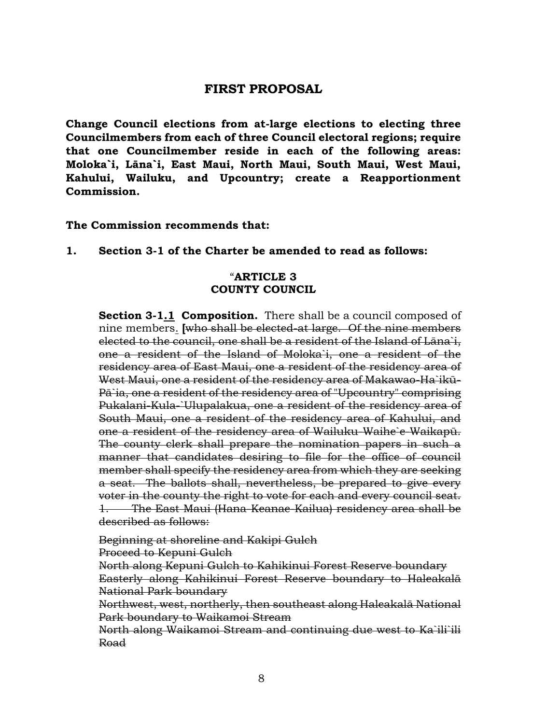# **FIRST PROPOSAL**

<span id="page-8-1"></span><span id="page-8-0"></span>**Change Council elections from at-large elections to electing three Councilmembers from each of three Council electoral regions; require that one Councilmember reside in each of the following areas: Moloka`i, Lāna`i, East Maui, North Maui, South Maui, West Maui, Kahului, Wailuku, and Upcountry; create a Reapportionment Commission.**

#### **The Commission recommends that:**

**1. Section 3-1 of the Charter be amended to read as follows:**

# "**ARTICLE 3 COUNTY COUNCIL**

**Section 3-1.1 Composition.** There shall be a council composed of nine members. **[**who shall be elected-at large. Of the nine members elected to the council, one shall be a resident of the Island of Lāna`i, one a resident of the Island of Moloka`i, one a resident of the residency area of East Maui, one a resident of the residency area of West Maui, one a resident of the residency area of Makawao-Ha`ikū-Pā`ia, one a resident of the residency area of "Upcountry" comprising Pukalani-Kula-`Ulupalakua, one a resident of the residency area of South Maui, one a resident of the residency area of Kahului, and one a resident of the residency area of Wailuku-Waihe`e-Waikapū. The county clerk shall prepare the nomination papers in such a manner that candidates desiring to file for the office of council member shall specify the residency area from which they are seeking a seat. The ballots shall, nevertheless, be prepared to give every voter in the county the right to vote for each and every council seat. 1. The East Maui (Hana-Keanae-Kailua) residency area shall be described as follows:

Beginning at shoreline and Kakipi Gulch Proceed to Kepuni Gulch

North along Kepuni Gulch to Kahikinui Forest Reserve boundary Easterly along Kahikinui Forest Reserve boundary to Haleakalā National Park boundary

Northwest, west, northerly, then southeast along Haleakalā National Park boundary to Waikamoi Stream

North along Waikamoi Stream and continuing due west to Ka`ili`ili Road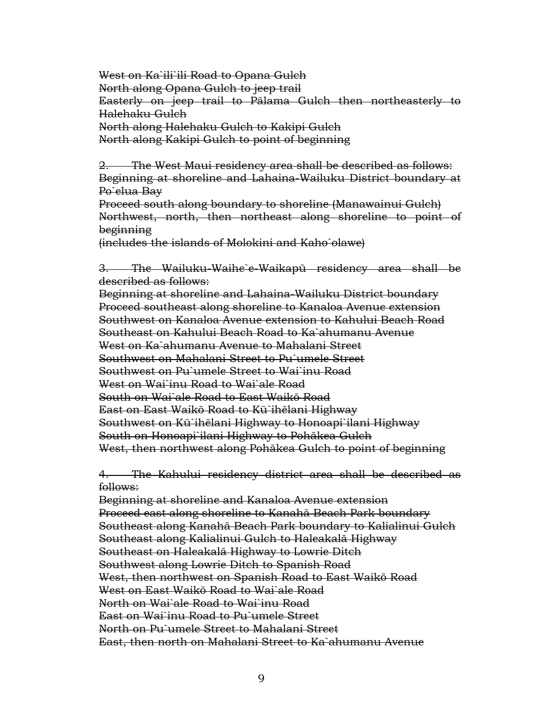West on Ka`ili`ili Road to Opana Gulch North along Opana Gulch to jeep trail Easterly on jeep trail to Pālama Gulch then northeasterly to Halehaku Gulch North along Halehaku Gulch to Kakipi Gulch North along Kakipi Gulch to point of beginning

2. The West Maui residency area shall be described as follows: Beginning at shoreline and Lahaina-Wailuku District boundary at Po`elua Bay

Proceed south along boundary to shoreline (Manawainui Gulch) Northwest, north, then northeast along shoreline to point of beginning

(includes the islands of Molokini and Kaho`olawe)

3. The Wailuku-Waihe`e-Waikapū residency area shall be described as follows:

Beginning at shoreline and Lahaina-Wailuku District boundary Proceed southeast along shoreline to Kanaloa Avenue extension Southwest on Kanaloa Avenue extension to Kahului Beach Road Southeast on Kahului Beach Road to Ka`ahumanu Avenue West on Ka`ahumanu Avenue to Mahalani Street Southwest on Mahalani Street to Pu`umele Street Southwest on Pu`umele Street to Wai`inu Road West on Wai`inu Road to Wai`ale Road South on Wai`ale Road to East Waikō Road East on East Waikō Road to Kū`ihēlani Highway Southwest on Kū`ihēlani Highway to Honoapi`ilani Highway South on Honoapi`ilani Highway to Pohākea Gulch West, then northwest along Pohākea Gulch to point of beginning

4. The Kahului residency district area shall be described as follows:

Beginning at shoreline and Kanaloa Avenue extension Proceed east along shoreline to Kanahā Beach Park boundary Southeast along Kanahā Beach Park boundary to Kalialinui Gulch Southeast along Kalialinui Gulch to Haleakalā Highway Southeast on Haleakalā Highway to Lowrie Ditch Southwest along Lowrie Ditch to Spanish Road West, then northwest on Spanish Road to East Waikō Road West on East Waikō Road to Wai`ale Road North on Wai`ale Road to Wai`inu Road East on Wai`inu Road to Pu`umele Street North on Pu`umele Street to Mahalani Street East, then north on Mahalani Street to Ka`ahumanu Avenue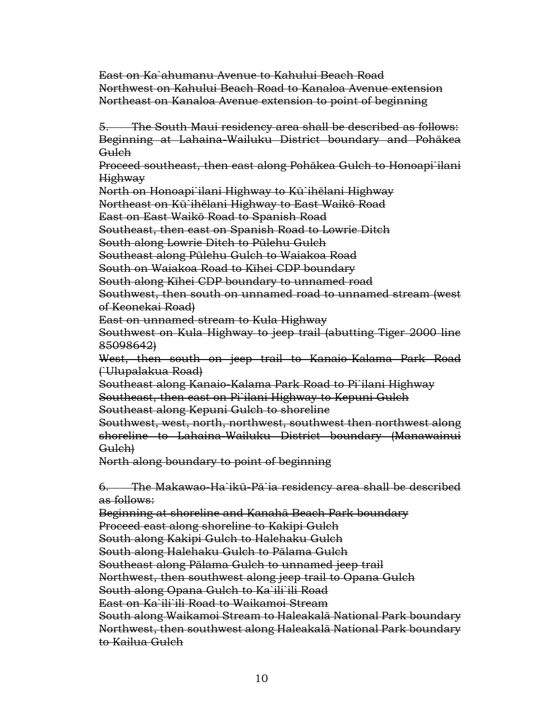East on Ka`ahumanu Avenue to Kahului Beach Road Northwest on Kahului Beach Road to Kanaloa Avenue extension Northeast on Kanaloa Avenue extension to point of beginning

5. The South Maui residency area shall be described as follows: Beginning at Lahaina-Wailuku District boundary and Pohākea Gulch

Proceed southeast, then east along Pohākea Gulch to Honoapi`ilani Highway

North on Honoapi`ilani Highway to Kū`ihēlani Highway

Northeast on Kū`ihēlani Highway to East Waikō Road

East on East Waikō Road to Spanish Road

Southeast, then east on Spanish Road to Lowrie Ditch

South along Lowrie Ditch to Pūlehu Gulch

Southeast along Pūlehu Gulch to Waiakoa Road

South on Waiakoa Road to Kīhei CDP boundary

South along Kīhei CDP boundary to unnamed road

Southwest, then south on unnamed road to unnamed stream (west of Keonekai Road)

East on unnamed stream to Kula Highway

Southwest on Kula Highway to jeep trail (abutting Tiger 2000 line 85098642<del>)</del>

West, then south on jeep trail to Kanaio-Kalama Park Road (`Ulupalakua Road)

Southeast along Kanaio-Kalama Park Road to Pi`ilani Highway

Southeast, then east on Pi`ilani Highway to Kepuni Gulch

Southeast along Kepuni Gulch to shoreline

Southwest, west, north, northwest, southwest then northwest along shoreline to Lahaina-Wailuku District boundary (Manawainui Gulch)

North along boundary to point of beginning

6. The Makawao-Ha`ikū-Pā`ia residency area shall be described as follows:

Beginning at shoreline and Kanahā Beach Park boundary Proceed east along shoreline to Kakipi Gulch South along Kakipi Gulch to Halehaku Gulch South along Halehaku Gulch to Pālama Gulch Southeast along Pālama Gulch to unnamed jeep trail Northwest, then southwest along jeep trail to Opana Gulch South along Opana Gulch to Ka`ili`ili Road East on Ka`ili`ili Road to Waikamoi Stream South along Waikamoi Stream to Haleakalā National Park boundary Northwest, then southwest along Haleakalā National Park boundary to Kailua Gulch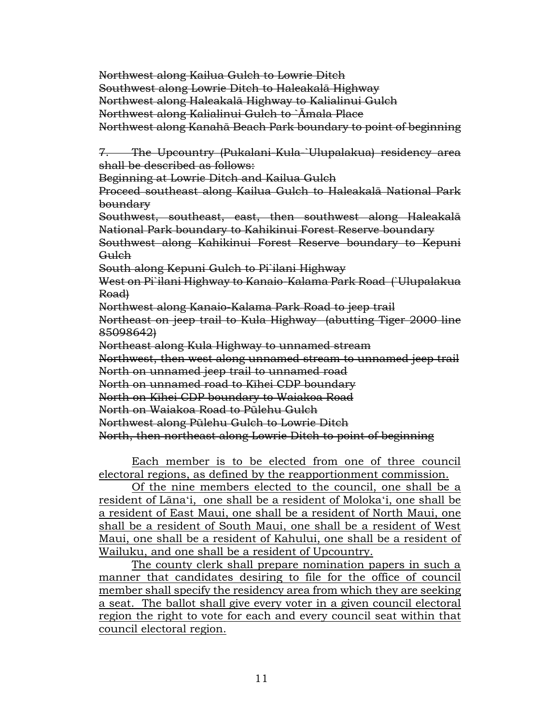Northwest along Kailua Gulch to Lowrie Ditch Southwest along Lowrie Ditch to Haleakalā Highway Northwest along Haleakalā Highway to Kalialinui Gulch Northwest along Kalialinui Gulch to `Āmala Place Northwest along Kanahā Beach Park boundary to point of beginning

7. The Upcountry (Pukalani-Kula-`Ulupalakua) residency area shall be described as follows:

Beginning at Lowrie Ditch and Kailua Gulch

Proceed southeast along Kailua Gulch to Haleakalā National Park boundary

Southwest, southeast, east, then southwest along Haleakalā National Park boundary to Kahikinui Forest Reserve boundary

Southwest along Kahikinui Forest Reserve boundary to Kepuni **Gulch** 

South along Kepuni Gulch to Pi`ilani Highway

West on Pi`ilani Highway to Kanaio-Kalama Park Road (`Ulupalakua Road)

Northwest along Kanaio-Kalama Park Road to jeep trail

Northeast on jeep trail to Kula Highway (abutting Tiger 2000 line 85098642)

Northeast along Kula Highway to unnamed stream

Northwest, then west along unnamed stream to unnamed jeep trail

North on unnamed jeep trail to unnamed road

North on unnamed road to Kīhei CDP boundary

North on Kīhei CDP boundary to Waiakoa Road

North on Waiakoa Road to Pūlehu Gulch

Northwest along Pūlehu Gulch to Lowrie Ditch

North, then northeast along Lowrie Ditch to point of beginning

Each member is to be elected from one of three council electoral regions, as defined by the reapportionment commission.

Of the nine members elected to the council, one shall be a resident of Lānaʻi, one shall be a resident of Molokaʻi, one shall be a resident of East Maui, one shall be a resident of North Maui, one shall be a resident of South Maui, one shall be a resident of West Maui, one shall be a resident of Kahului, one shall be a resident of Wailuku, and one shall be a resident of Upcountry.

The county clerk shall prepare nomination papers in such a manner that candidates desiring to file for the office of council member shall specify the residency area from which they are seeking a seat. The ballot shall give every voter in a given council electoral region the right to vote for each and every council seat within that council electoral region.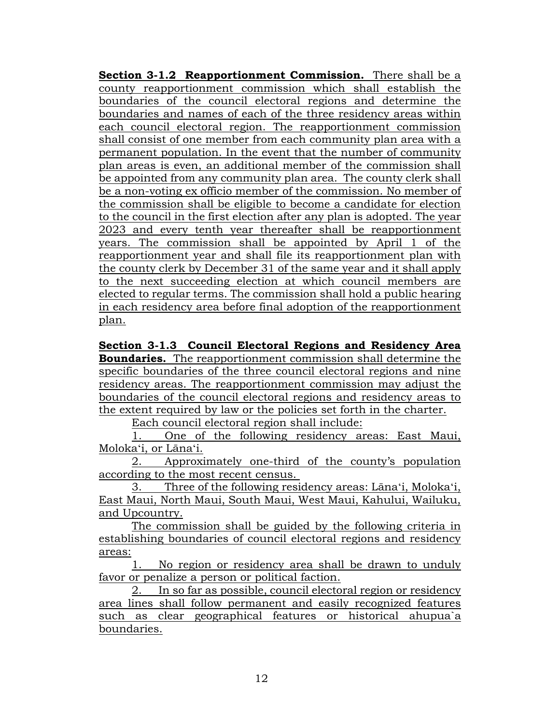**Section 3-1.2 Reapportionment Commission.** There shall be a county reapportionment commission which shall establish the boundaries of the council electoral regions and determine the boundaries and names of each of the three residency areas within each council electoral region. The reapportionment commission shall consist of one member from each community plan area with a permanent population. In the event that the number of community plan areas is even, an additional member of the commission shall be appointed from any community plan area. The county clerk shall be a non-voting ex officio member of the commission. No member of the commission shall be eligible to become a candidate for election to the council in the first election after any plan is adopted. The year 2023 and every tenth year thereafter shall be reapportionment years. The commission shall be appointed by April 1 of the reapportionment year and shall file its reapportionment plan with the county clerk by December 31 of the same year and it shall apply to the next succeeding election at which council members are elected to regular terms. The commission shall hold a public hearing in each residency area before final adoption of the reapportionment plan.

**Section 3-1.3 Council Electoral Regions and Residency Area Boundaries.** The reapportionment commission shall determine the specific boundaries of the three council electoral regions and nine residency areas. The reapportionment commission may adjust the boundaries of the council electoral regions and residency areas to the extent required by law or the policies set forth in the charter.

Each council electoral region shall include:

1. One of the following residency areas: East Maui, Molokaʻi, or Lānaʻi.

2. Approximately one-third of the county's population according to the most recent census.

3. Three of the following residency areas: Lānaʻi, Molokaʻi, East Maui, North Maui, South Maui, West Maui, Kahului, Wailuku, and Upcountry.

The commission shall be guided by the following criteria in establishing boundaries of council electoral regions and residency areas:

1. No region or residency area shall be drawn to unduly favor or penalize a person or political faction.

2. In so far as possible, council electoral region or residency area lines shall follow permanent and easily recognized features such as clear geographical features or historical ahupua`a boundaries.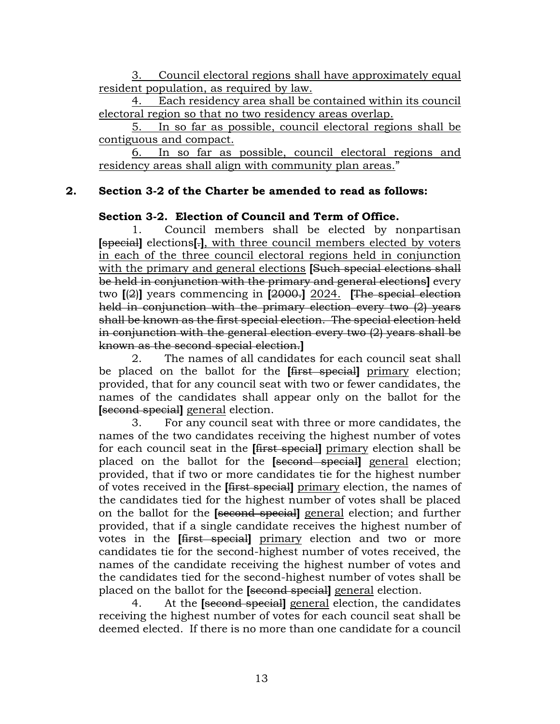3. Council electoral regions shall have approximately equal resident population, as required by law.

4. Each residency area shall be contained within its council electoral region so that no two residency areas overlap.

5. In so far as possible, council electoral regions shall be contiguous and compact.

6. In so far as possible, council electoral regions and residency areas shall align with community plan areas."

# **2. Section 3-2 of the Charter be amended to read as follows:**

# **Section 3-2. Election of Council and Term of Office.**

Council members shall be elected by nonpartisan **[**special**]** elections**[**.**]**, with three council members elected by voters in each of the three council electoral regions held in conjunction with the primary and general elections **[**Such special elections shall be held in conjunction with the primary and general elections**]** every two **[**(2)**]** years commencing in **[**2000.**]** 2024. **[**The special election held in conjunction with the primary election every two (2) years shall be known as the first special election. The special election held in conjunction with the general election every two (2) years shall be known as the second special election.**]**

2. The names of all candidates for each council seat shall be placed on the ballot for the **[**first special**]** primary election; provided, that for any council seat with two or fewer candidates, the names of the candidates shall appear only on the ballot for the **[**second special**]** general election.

3. For any council seat with three or more candidates, the names of the two candidates receiving the highest number of votes for each council seat in the **[**first special**]** primary election shall be placed on the ballot for the **[**second special**]** general election; provided, that if two or more candidates tie for the highest number of votes received in the **[**first special**]** primary election, the names of the candidates tied for the highest number of votes shall be placed on the ballot for the **[**second special**]** general election; and further provided, that if a single candidate receives the highest number of votes in the **[**first special**]** primary election and two or more candidates tie for the second-highest number of votes received, the names of the candidate receiving the highest number of votes and the candidates tied for the second-highest number of votes shall be placed on the ballot for the **[**second special**]** general election.

4. At the **[**second special**]** general election, the candidates receiving the highest number of votes for each council seat shall be deemed elected. If there is no more than one candidate for a council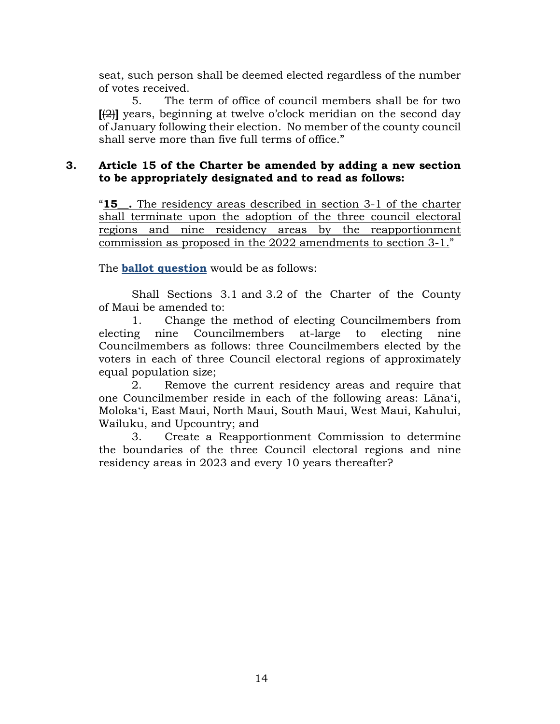seat, such person shall be deemed elected regardless of the number of votes received.

5. The term of office of council members shall be for two **[**(2)**]** years, beginning at twelve o'clock meridian on the second day of January following their election. No member of the county council shall serve more than five full terms of office."

# **3. Article 15 of the Charter be amended by adding a new section to be appropriately designated and to read as follows:**

"**15\_\_.** The residency areas described in section 3-1 of the charter shall terminate upon the adoption of the three council electoral regions and nine residency areas by the reapportionment commission as proposed in the 2022 amendments to section 3-1."

The **ballot question** would be as follows:

Shall Sections 3.1 and 3.2 of the Charter of the County of Maui be amended to:

1. Change the method of electing Councilmembers from electing nine Councilmembers at-large to electing nine Councilmembers as follows: three Councilmembers elected by the voters in each of three Council electoral regions of approximately equal population size;

2. Remove the current residency areas and require that one Councilmember reside in each of the following areas: Lānaʻi, Molokaʻi, East Maui, North Maui, South Maui, West Maui, Kahului, Wailuku, and Upcountry; and

3. Create a Reapportionment Commission to determine the boundaries of the three Council electoral regions and nine residency areas in 2023 and every 10 years thereafter?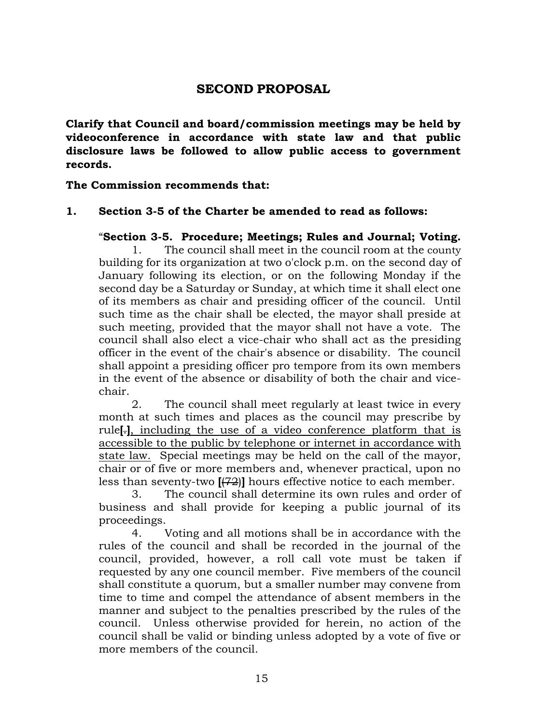# **SECOND PROPOSAL**

<span id="page-15-1"></span><span id="page-15-0"></span>**Clarify that Council and board/commission meetings may be held by videoconference in accordance with state law and that public disclosure laws be followed to allow public access to government records.**

**The Commission recommends that:**

# **1. Section 3-5 of the Charter be amended to read as follows:**

# "**Section 3-5. Procedure; Meetings; Rules and Journal; Voting.**

1. The council shall meet in the council room at the county building for its organization at two o'clock p.m. on the second day of January following its election, or on the following Monday if the second day be a Saturday or Sunday, at which time it shall elect one of its members as chair and presiding officer of the council. Until such time as the chair shall be elected, the mayor shall preside at such meeting, provided that the mayor shall not have a vote. The council shall also elect a vice-chair who shall act as the presiding officer in the event of the chair's absence or disability. The council shall appoint a presiding officer pro tempore from its own members in the event of the absence or disability of both the chair and vicechair.

2. The council shall meet regularly at least twice in every month at such times and places as the council may prescribe by rule**[**.**]**, including the use of a video conference platform that is accessible to the public by telephone or internet in accordance with state law. Special meetings may be held on the call of the mayor, chair or of five or more members and, whenever practical, upon no less than seventy-two **[**(72)**]** hours effective notice to each member.

3. The council shall determine its own rules and order of business and shall provide for keeping a public journal of its proceedings.

4. Voting and all motions shall be in accordance with the rules of the council and shall be recorded in the journal of the council, provided, however, a roll call vote must be taken if requested by any one council member. Five members of the council shall constitute a quorum, but a smaller number may convene from time to time and compel the attendance of absent members in the manner and subject to the penalties prescribed by the rules of the council. Unless otherwise provided for herein, no action of the council shall be valid or binding unless adopted by a vote of five or more members of the council.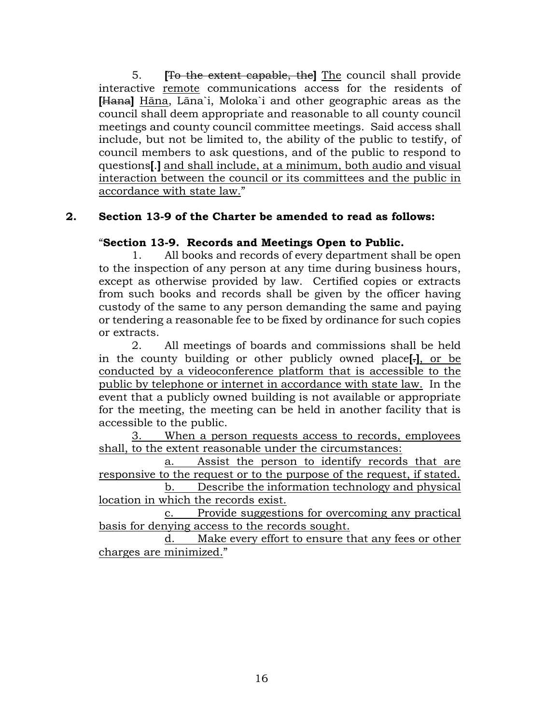5. **[**To the extent capable, the**]** The council shall provide interactive remote communications access for the residents of **[**Hana**]** Hāna, Lāna`i, Moloka`i and other geographic areas as the council shall deem appropriate and reasonable to all county council meetings and county council committee meetings. Said access shall include, but not be limited to, the ability of the public to testify, of council members to ask questions, and of the public to respond to questions**[**.**]** and shall include, at a minimum, both audio and visual interaction between the council or its committees and the public in accordance with state law."

# **2. Section 13-9 of the Charter be amended to read as follows:**

#### "**Section 13-9. Records and Meetings Open to Public.**

1. All books and records of every department shall be open to the inspection of any person at any time during business hours, except as otherwise provided by law. Certified copies or extracts from such books and records shall be given by the officer having custody of the same to any person demanding the same and paying or tendering a reasonable fee to be fixed by ordinance for such copies or extracts.

2. All meetings of boards and commissions shall be held in the county building or other publicly owned place**[**.**]**, or be conducted by a videoconference platform that is accessible to the public by telephone or internet in accordance with state law. In the event that a publicly owned building is not available or appropriate for the meeting, the meeting can be held in another facility that is accessible to the public.

3. When a person requests access to records, employees shall, to the extent reasonable under the circumstances:

a. Assist the person to identify records that are responsive to the request or to the purpose of the request, if stated.

b. Describe the information technology and physical location in which the records exist.

c. Provide suggestions for overcoming any practical basis for denying access to the records sought.

d. Make every effort to ensure that any fees or other charges are minimized."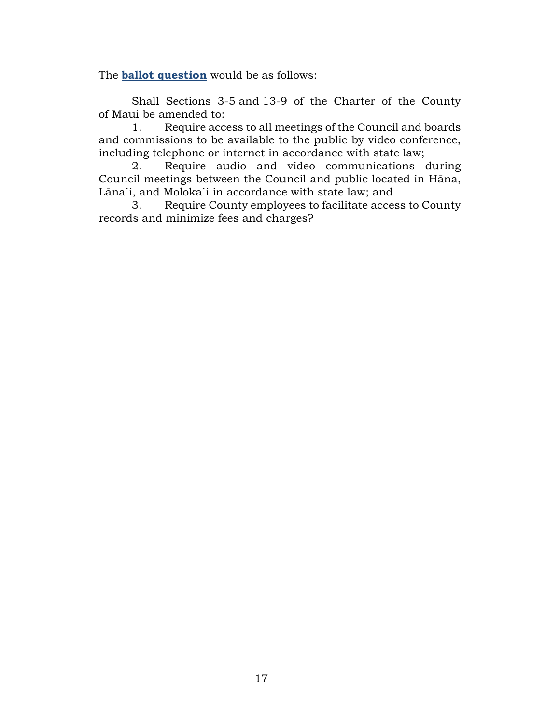The **ballot question** would be as follows:

Shall Sections 3-5 and 13-9 of the Charter of the County of Maui be amended to:

1. Require access to all meetings of the Council and boards and commissions to be available to the public by video conference, including telephone or internet in accordance with state law;

2. Require audio and video communications during Council meetings between the Council and public located in Hāna, Lāna`i, and Moloka`i in accordance with state law; and

3. Require County employees to facilitate access to County records and minimize fees and charges?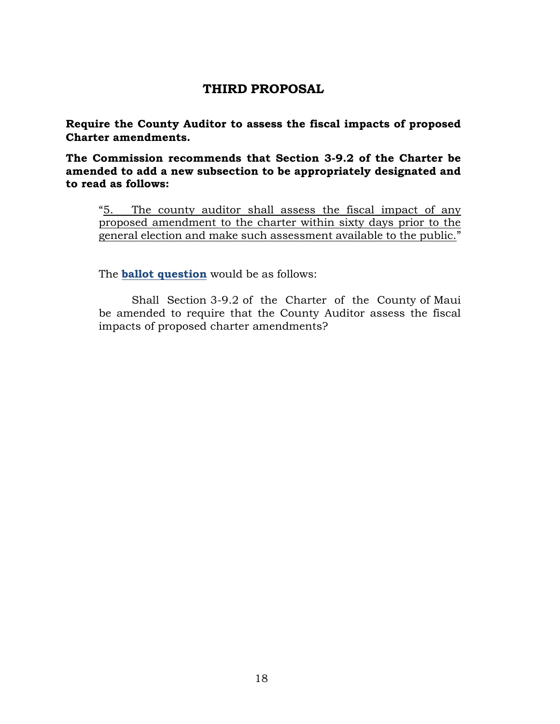# **THIRD PROPOSAL**

<span id="page-18-1"></span><span id="page-18-0"></span>**Require the County Auditor to assess the fiscal impacts of proposed Charter amendments.**

**The Commission recommends that Section 3-9.2 of the Charter be amended to add a new subsection to be appropriately designated and to read as follows:**

"5. The county auditor shall assess the fiscal impact of any proposed amendment to the charter within sixty days prior to the general election and make such assessment available to the public."

The **ballot question** would be as follows:

Shall Section 3-9.2 of the Charter of the County of Maui be amended to require that the County Auditor assess the fiscal impacts of proposed charter amendments?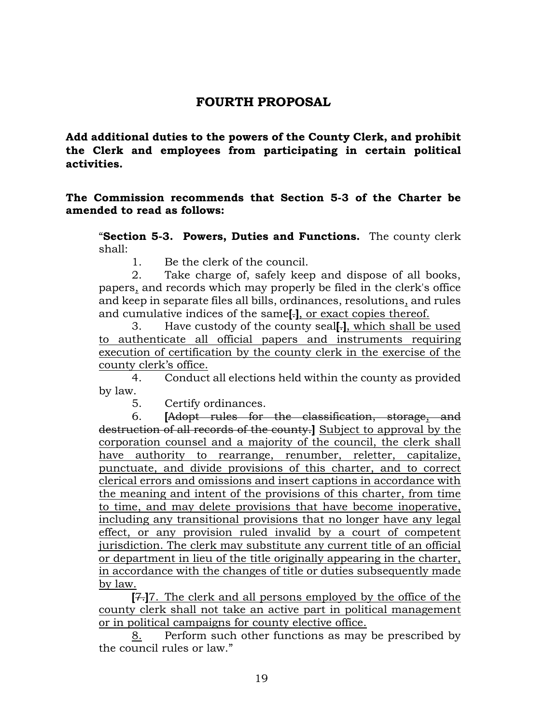# **FOURTH PROPOSAL**

<span id="page-19-1"></span><span id="page-19-0"></span>**Add additional duties to the powers of the County Clerk, and prohibit the Clerk and employees from participating in certain political activities.**

# **The Commission recommends that Section 5-3 of the Charter be amended to read as follows:**

"**Section 5-3. Powers, Duties and Functions.** The county clerk shall:

1. Be the clerk of the council.

2. Take charge of, safely keep and dispose of all books, papers, and records which may properly be filed in the clerk's office and keep in separate files all bills, ordinances, resolutions, and rules and cumulative indices of the same**[**.**]**, or exact copies thereof.

3. Have custody of the county seal**[**.**]**, which shall be used to authenticate all official papers and instruments requiring execution of certification by the county clerk in the exercise of the county clerk's office.

4. Conduct all elections held within the county as provided by law.

5. Certify ordinances.

6. **[**Adopt rules for the classification, storage, and destruction of all records of the county.**]** Subject to approval by the corporation counsel and a majority of the council, the clerk shall have authority to rearrange, renumber, reletter, capitalize, punctuate, and divide provisions of this charter, and to correct clerical errors and omissions and insert captions in accordance with the meaning and intent of the provisions of this charter, from time to time, and may delete provisions that have become inoperative, including any transitional provisions that no longer have any legal effect, or any provision ruled invalid by a court of competent jurisdiction. The clerk may substitute any current title of an official or department in lieu of the title originally appearing in the charter, in accordance with the changes of title or duties subsequently made by law.

**[**7.**]**7. The clerk and all persons employed by the office of the county clerk shall not take an active part in political management or in political campaigns for county elective office.

8. Perform such other functions as may be prescribed by the council rules or law."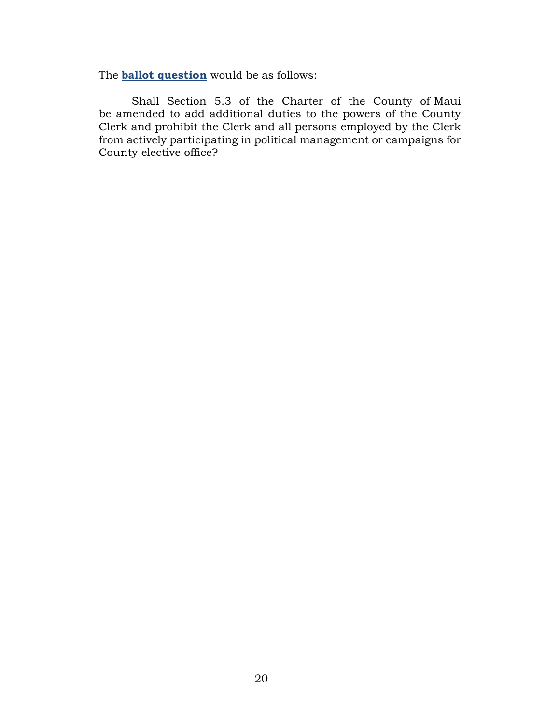The **ballot question** would be as follows:

Shall Section 5.3 of the Charter of the County of Maui be amended to add additional duties to the powers of the County Clerk and prohibit the Clerk and all persons employed by the Clerk from actively participating in political management or campaigns for County elective office?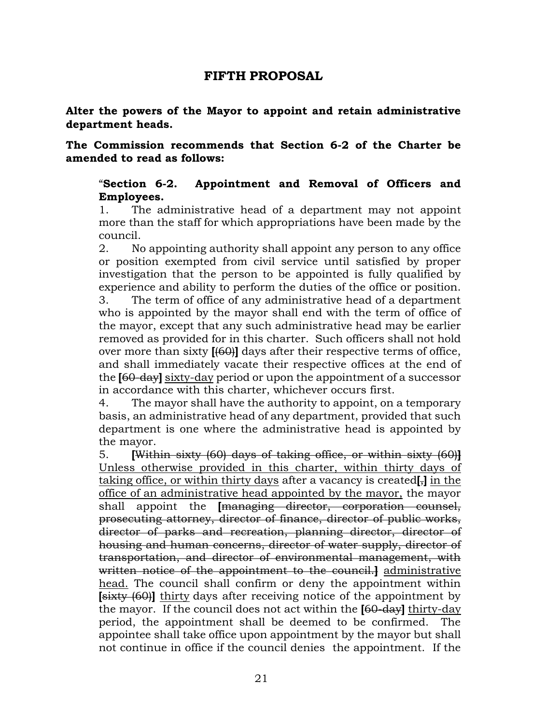# **FIFTH PROPOSAL**

<span id="page-21-1"></span><span id="page-21-0"></span>**Alter the powers of the Mayor to appoint and retain administrative department heads.**

**The Commission recommends that Section 6-2 of the Charter be amended to read as follows:**

# "**Section 6-2. Appointment and Removal of Officers and Employees.**

1. The administrative head of a department may not appoint more than the staff for which appropriations have been made by the council.

2. No appointing authority shall appoint any person to any office or position exempted from civil service until satisfied by proper investigation that the person to be appointed is fully qualified by experience and ability to perform the duties of the office or position. 3. The term of office of any administrative head of a department who is appointed by the mayor shall end with the term of office of the mayor, except that any such administrative head may be earlier removed as provided for in this charter. Such officers shall not hold over more than sixty **[**(60)**]** days after their respective terms of office, and shall immediately vacate their respective offices at the end of the **[**60-day**]** sixty-day period or upon the appointment of a successor in accordance with this charter, whichever occurs first.

4. The mayor shall have the authority to appoint, on a temporary basis, an administrative head of any department, provided that such department is one where the administrative head is appointed by the mayor.

5. **[**Within sixty (60) days of taking office, or within sixty (60)**]** Unless otherwise provided in this charter, within thirty days of taking office, or within thirty days after a vacancy is created**[**,**]** in the office of an administrative head appointed by the mayor, the mayor shall appoint the *[managing director, corporation counsel,* prosecuting attorney, director of finance, director of public works, director of parks and recreation, planning director, director of housing and human concerns, director of water supply, director of transportation, and director of environmental management, with written notice of the appointment to the council.**]** administrative head. The council shall confirm or deny the appointment within **[**sixty (60)**]** thirty days after receiving notice of the appointment by the mayor. If the council does not act within the **[**60-day**]** thirty-day period, the appointment shall be deemed to be confirmed. The appointee shall take office upon appointment by the mayor but shall not continue in office if the council denies the appointment. If the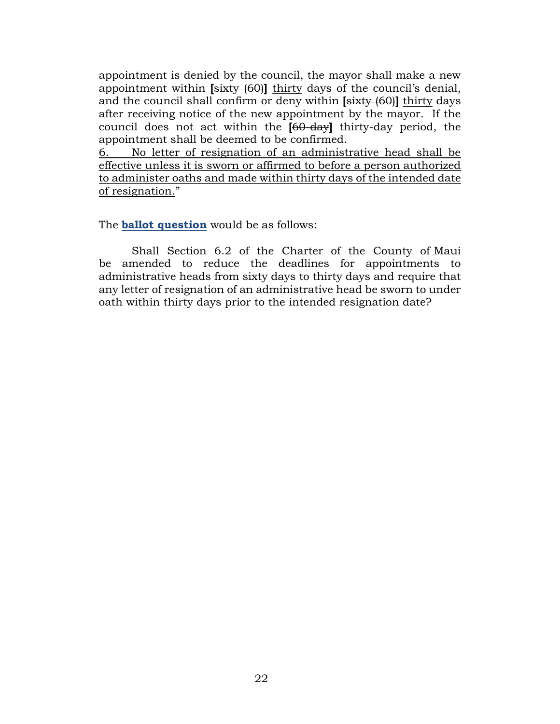appointment is denied by the council, the mayor shall make a new appointment within **[**sixty (60)**]** thirty days of the council's denial, and the council shall confirm or deny within **[**sixty (60)**]** thirty days after receiving notice of the new appointment by the mayor. If the council does not act within the **[**60-day**]** thirty-day period, the appointment shall be deemed to be confirmed.

6. No letter of resignation of an administrative head shall be effective unless it is sworn or affirmed to before a person authorized to administer oaths and made within thirty days of the intended date of resignation."

The **ballot question** would be as follows:

Shall Section 6.2 of the Charter of the County of Maui be amended to reduce the deadlines for appointments to administrative heads from sixty days to thirty days and require that any letter of resignation of an administrative head be sworn to under oath within thirty days prior to the intended resignation date?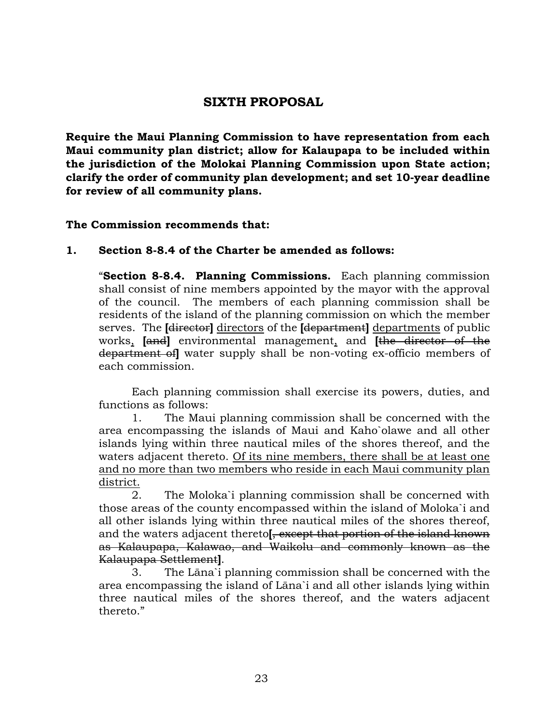# **SIXTH PROPOSAL**

<span id="page-23-1"></span><span id="page-23-0"></span>**Require the Maui Planning Commission to have representation from each Maui community plan district; allow for Kalaupapa to be included within the jurisdiction of the Molokai Planning Commission upon State action; clarify the order of community plan development; and set 10-year deadline for review of all community plans.**

# **The Commission recommends that:**

# **1. Section 8-8.4 of the Charter be amended as follows:**

"**Section 8-8.4. Planning Commissions.** Each planning commission shall consist of nine members appointed by the mayor with the approval of the council. The members of each planning commission shall be residents of the island of the planning commission on which the member serves. The **[**director**]** directors of the **[**department**]** departments of public works, **[**and**]** environmental management, and **[**the director of the department of**]** water supply shall be non-voting ex-officio members of each commission.

Each planning commission shall exercise its powers, duties, and functions as follows:

1. The Maui planning commission shall be concerned with the area encompassing the islands of Maui and Kaho`olawe and all other islands lying within three nautical miles of the shores thereof, and the waters adjacent thereto. Of its nine members, there shall be at least one and no more than two members who reside in each Maui community plan district.

2. The Moloka`i planning commission shall be concerned with those areas of the county encompassed within the island of Moloka`i and all other islands lying within three nautical miles of the shores thereof, and the waters adjacent thereto**[**, except that portion of the island known as Kalaupapa, Kalawao, and Waikolu and commonly known as the Kalaupapa Settlement**]**.

3. The Lāna`i planning commission shall be concerned with the area encompassing the island of Lāna`i and all other islands lying within three nautical miles of the shores thereof, and the waters adjacent thereto."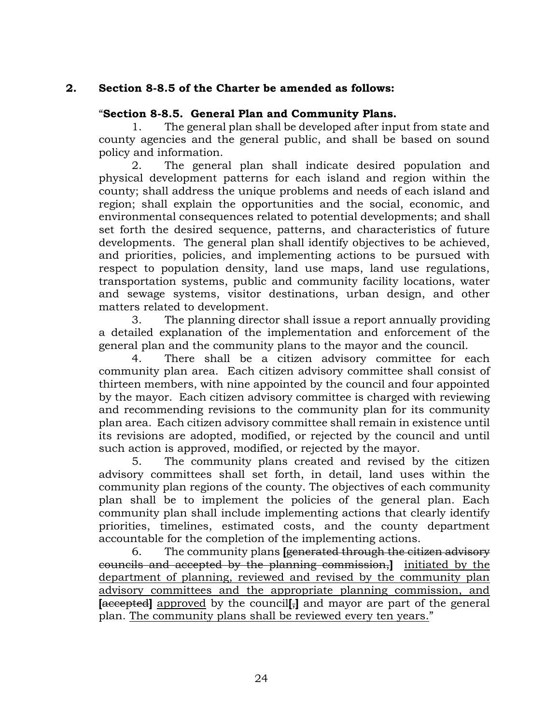# **2. Section 8-8.5 of the Charter be amended as follows:**

# "**Section 8-8.5. General Plan and Community Plans.**

1. The general plan shall be developed after input from state and county agencies and the general public, and shall be based on sound policy and information.

2. The general plan shall indicate desired population and physical development patterns for each island and region within the county; shall address the unique problems and needs of each island and region; shall explain the opportunities and the social, economic, and environmental consequences related to potential developments; and shall set forth the desired sequence, patterns, and characteristics of future developments. The general plan shall identify objectives to be achieved, and priorities, policies, and implementing actions to be pursued with respect to population density, land use maps, land use regulations, transportation systems, public and community facility locations, water and sewage systems, visitor destinations, urban design, and other matters related to development.

3. The planning director shall issue a report annually providing a detailed explanation of the implementation and enforcement of the general plan and the community plans to the mayor and the council.

4. There shall be a citizen advisory committee for each community plan area. Each citizen advisory committee shall consist of thirteen members, with nine appointed by the council and four appointed by the mayor. Each citizen advisory committee is charged with reviewing and recommending revisions to the community plan for its community plan area. Each citizen advisory committee shall remain in existence until its revisions are adopted, modified, or rejected by the council and until such action is approved, modified, or rejected by the mayor.

5. The community plans created and revised by the citizen advisory committees shall set forth, in detail, land uses within the community plan regions of the county. The objectives of each community plan shall be to implement the policies of the general plan. Each community plan shall include implementing actions that clearly identify priorities, timelines, estimated costs, and the county department accountable for the completion of the implementing actions.

6. The community plans **[**generated through the citizen advisory councils and accepted by the planning commission,**]** initiated by the department of planning, reviewed and revised by the community plan advisory committees and the appropriate planning commission, and **[**accepted**]** approved by the council**[**,**]** and mayor are part of the general plan. The community plans shall be reviewed every ten years."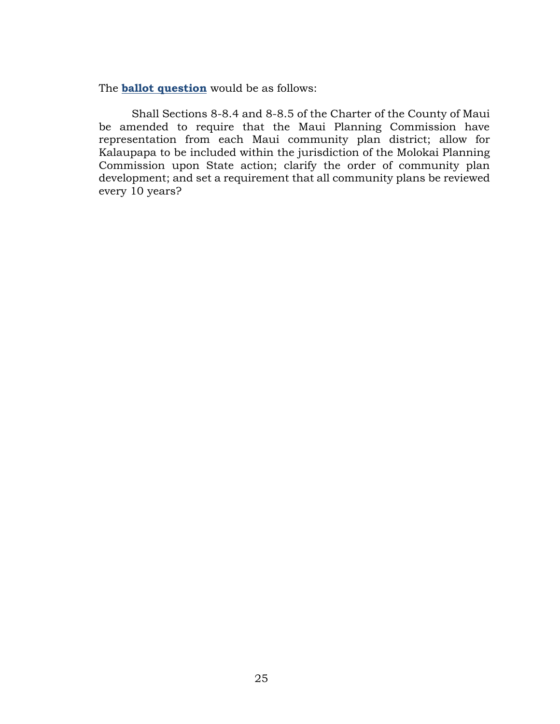The **ballot question** would be as follows:

Shall Sections 8-8.4 and 8-8.5 of the Charter of the County of Maui be amended to require that the Maui Planning Commission have representation from each Maui community plan district; allow for Kalaupapa to be included within the jurisdiction of the Molokai Planning Commission upon State action; clarify the order of community plan development; and set a requirement that all community plans be reviewed every 10 years?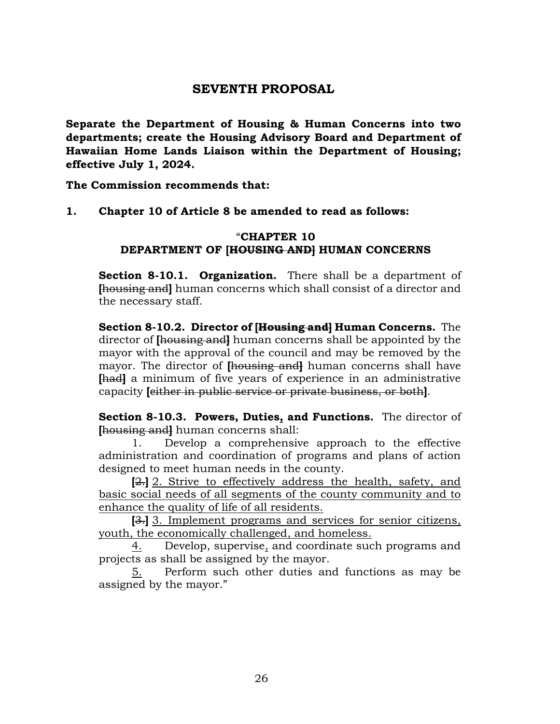# **SEVENTH PROPOSAL**

<span id="page-26-1"></span><span id="page-26-0"></span>**Separate the Department of Housing & Human Concerns into two departments; create the Housing Advisory Board and Department of Hawaiian Home Lands Liaison within the Department of Housing; effective July 1, 2024.**

**The Commission recommends that:**

**1. Chapter 10 of Article 8 be amended to read as follows:**

## "**CHAPTER 10 DEPARTMENT OF [HOUSING AND] HUMAN CONCERNS**

**Section 8-10.1. Organization.** There shall be a department of **[**housing and**]** human concerns which shall consist of a director and the necessary staff.

**Section 8-10.2. Director of [Housing and] Human Concerns.** The director of **[**housing and**]** human concerns shall be appointed by the mayor with the approval of the council and may be removed by the mayor. The director of **[**housing and**]** human concerns shall have **[**had**]** a minimum of five years of experience in an administrative capacity **[**either in public service or private business, or both**]**.

**Section 8-10.3. Powers, Duties, and Functions.** The director of **[**housing and**]** human concerns shall:

1. Develop a comprehensive approach to the effective administration and coordination of programs and plans of action designed to meet human needs in the county.

**[**2.**]** 2. Strive to effectively address the health, safety, and basic social needs of all segments of the county community and to enhance the quality of life of all residents.

**[**3.**]** 3. Implement programs and services for senior citizens, youth, the economically challenged, and homeless.

4. Develop, supervise, and coordinate such programs and projects as shall be assigned by the mayor.

5. Perform such other duties and functions as may be assigned by the mayor."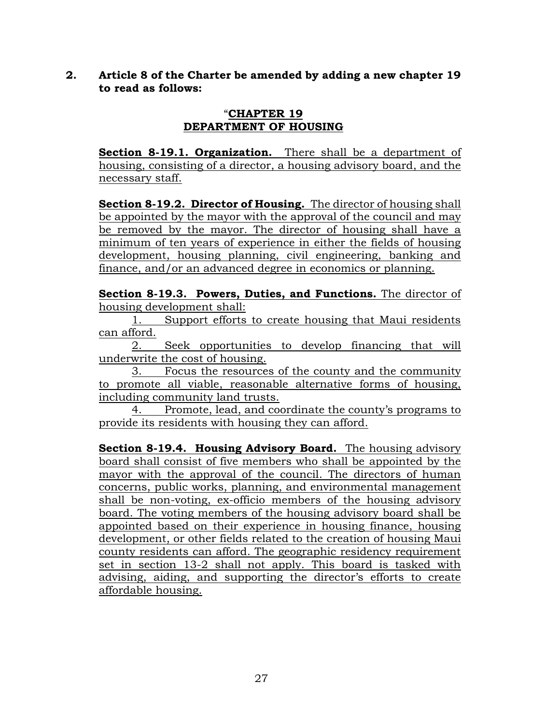# **2. Article 8 of the Charter be amended by adding a new chapter 19 to read as follows:**

#### "**CHAPTER 19 DEPARTMENT OF HOUSING**

**Section 8-19.1. Organization.** There shall be a department of housing, consisting of a director, a housing advisory board, and the necessary staff.

**Section 8-19.2. Director of Housing.** The director of housing shall be appointed by the mayor with the approval of the council and may be removed by the mayor. The director of housing shall have a minimum of ten years of experience in either the fields of housing development, housing planning, civil engineering, banking and finance, and/or an advanced degree in economics or planning.

**Section 8-19.3. Powers, Duties, and Functions.** The director of housing development shall:

1. Support efforts to create housing that Maui residents can afford.

2. Seek opportunities to develop financing that will underwrite the cost of housing.

3. Focus the resources of the county and the community to promote all viable, reasonable alternative forms of housing, including community land trusts.

4. Promote, lead, and coordinate the county's programs to provide its residents with housing they can afford.

**Section 8-19.4. Housing Advisory Board.** The housing advisory board shall consist of five members who shall be appointed by the mayor with the approval of the council. The directors of human concerns, public works, planning, and environmental management shall be non-voting, ex-officio members of the housing advisory board. The voting members of the housing advisory board shall be appointed based on their experience in housing finance, housing development, or other fields related to the creation of housing Maui county residents can afford. The geographic residency requirement set in section 13-2 shall not apply. This board is tasked with advising, aiding, and supporting the director's efforts to create affordable housing.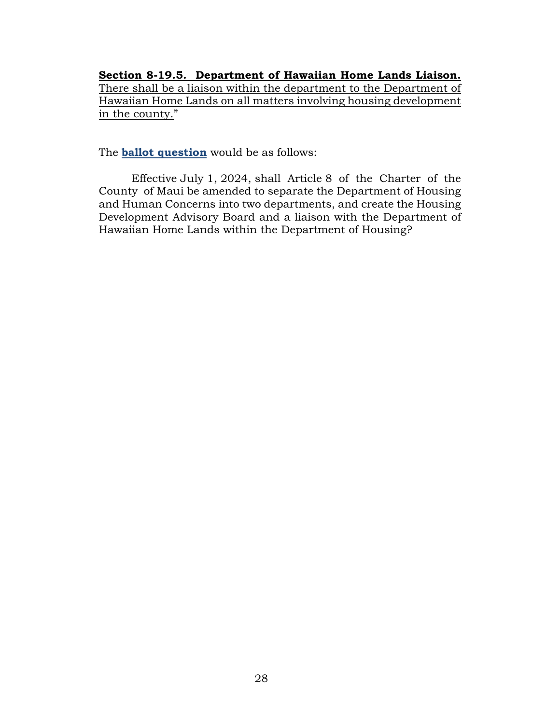**Section 8-19.5. Department of Hawaiian Home Lands Liaison.** There shall be a liaison within the department to the Department of Hawaiian Home Lands on all matters involving housing development in the county."

The **ballot question** would be as follows:

Effective July 1, 2024, shall Article 8 of the Charter of the County of Maui be amended to separate the Department of Housing and Human Concerns into two departments, and create the Housing Development Advisory Board and a liaison with the Department of Hawaiian Home Lands within the Department of Housing?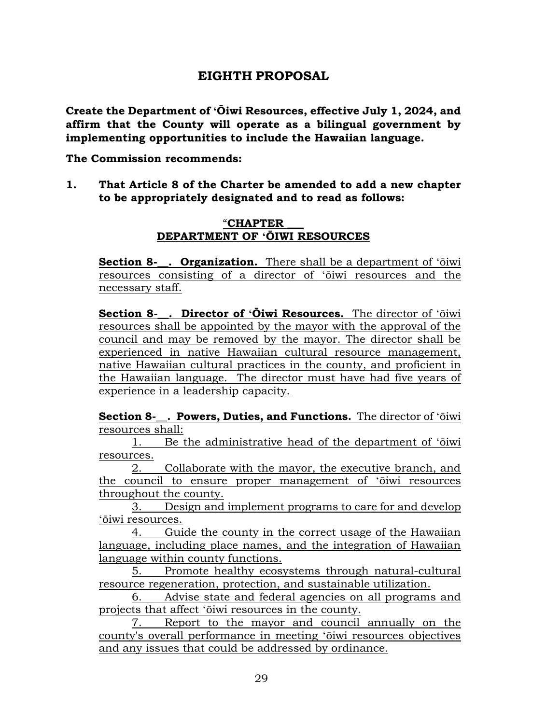# **EIGHTH PROPOSAL**

<span id="page-29-1"></span><span id="page-29-0"></span>**Create the Department of ʻŌiwi Resources, effective July 1, 2024, and affirm that the County will operate as a bilingual government by implementing opportunities to include the Hawaiian language.**

**The Commission recommends:**

**1. That Article 8 of the Charter be amended to add a new chapter to be appropriately designated and to read as follows:**

# "**CHAPTER \_\_\_ DEPARTMENT OF ʻŌIWI RESOURCES**

**Section 8-**. **Organization.** There shall be a department of 'ōiwi resources consisting of a director of ʻōiwi resources and the necessary staff.

**Section 8-\_\_. Director of ʻŌiwi Resources.** The director of ʻōiwi resources shall be appointed by the mayor with the approval of the council and may be removed by the mayor. The director shall be experienced in native Hawaiian cultural resource management, native Hawaiian cultural practices in the county, and proficient in the Hawaiian language. The director must have had five years of experience in a leadership capacity.

**Section 8-\_\_. Powers, Duties, and Functions.** The director of ʻōiwi resources shall:

1. Be the administrative head of the department of ʻōiwi resources.

2. Collaborate with the mayor, the executive branch, and the council to ensure proper management of ʻōiwi resources throughout the county.

3. Design and implement programs to care for and develop ʻōiwi resources.

4. Guide the county in the correct usage of the Hawaiian language, including place names, and the integration of Hawaiian language within county functions.

5. Promote healthy ecosystems through natural-cultural resource regeneration, protection, and sustainable utilization.

6. Advise state and federal agencies on all programs and projects that affect ʻōiwi resources in the county.

7. Report to the mayor and council annually on the county's overall performance in meeting ʻōiwi resources objectives and any issues that could be addressed by ordinance.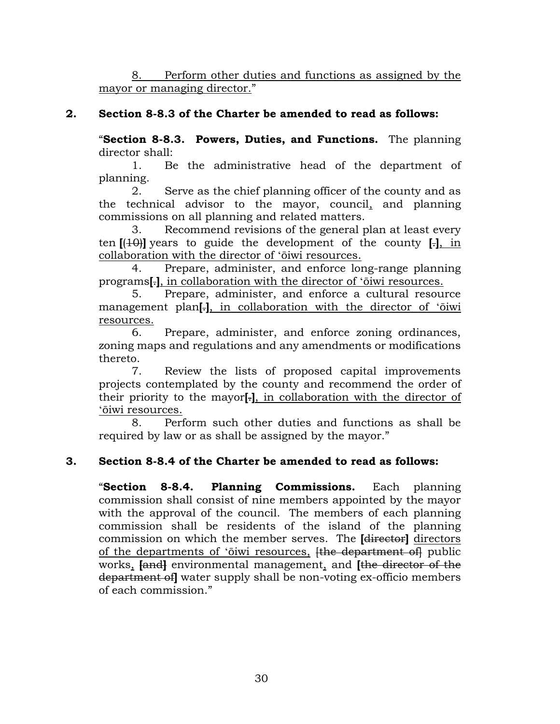8. Perform other duties and functions as assigned by the mayor or managing director."

# **2. Section 8-8.3 of the Charter be amended to read as follows:**

"**Section 8-8.3. Powers, Duties, and Functions.** The planning director shall:

1. Be the administrative head of the department of planning.

2. Serve as the chief planning officer of the county and as the technical advisor to the mayor, council, and planning commissions on all planning and related matters.

3. Recommend revisions of the general plan at least every ten **[**(10)**]** years to guide the development of the county **[**.**]**, in collaboration with the director of ʻōiwi resources.

Prepare, administer, and enforce long-range planning programs**[**.**]**, in collaboration with the director of ʻōiwi resources.

5. Prepare, administer, and enforce a cultural resource management plan**[**.**]**, in collaboration with the director of ʻōiwi resources.

6. Prepare, administer, and enforce zoning ordinances, zoning maps and regulations and any amendments or modifications thereto.

7. Review the lists of proposed capital improvements projects contemplated by the county and recommend the order of their priority to the mayor**[**.**]**, in collaboration with the director of ʻōiwi resources.

8. Perform such other duties and functions as shall be required by law or as shall be assigned by the mayor."

# **3. Section 8-8.4 of the Charter be amended to read as follows:**

"**Section 8-8.4. Planning Commissions.** Each planning commission shall consist of nine members appointed by the mayor with the approval of the council. The members of each planning commission shall be residents of the island of the planning commission on which the member serves. The **[**director**]** directors of the departments of 'oiwi resources, <del>[the department of]</del> public works, **[**and**]** environmental management, and **[**the director of the department of**]** water supply shall be non-voting ex-officio members of each commission."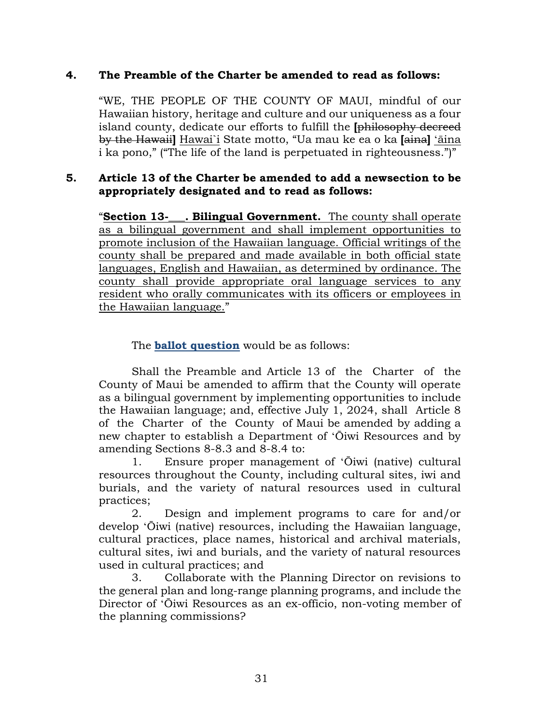# **4. The Preamble of the Charter be amended to read as follows:**

"WE, THE PEOPLE OF THE COUNTY OF MAUI, mindful of our Hawaiian history, heritage and culture and our uniqueness as a four island county, dedicate our efforts to fulfill the **[**philosophy decreed by the Hawaii**]** Hawai`i State motto, "Ua mau ke ea o ka **[**aina**]** ʻāina i ka pono," ("The life of the land is perpetuated in righteousness.")"

# **5. Article 13 of the Charter be amended to add a newsection to be appropriately designated and to read as follows:**

"**Section 13-\_\_\_. Bilingual Government.** The county shall operate as a bilingual government and shall implement opportunities to promote inclusion of the Hawaiian language. Official writings of the county shall be prepared and made available in both official state languages, English and Hawaiian, as determined by ordinance. The county shall provide appropriate oral language services to any resident who orally communicates with its officers or employees in the Hawaiian language."

The **ballot question** would be as follows:

Shall the Preamble and Article 13 of the Charter of the County of Maui be amended to affirm that the County will operate as a bilingual government by implementing opportunities to include the Hawaiian language; and, effective July 1, 2024, shall Article 8 of the Charter of the County of Maui be amended by adding a new chapter to establish a Department of ʻŌiwi Resources and by amending Sections 8-8.3 and 8-8.4 to:

1. Ensure proper management of ʻŌiwi (native) cultural resources throughout the County, including cultural sites, iwi and burials, and the variety of natural resources used in cultural practices;

2. Design and implement programs to care for and/or develop ʻŌiwi (native) resources, including the Hawaiian language, cultural practices, place names, historical and archival materials, cultural sites, iwi and burials, and the variety of natural resources used in cultural practices; and

3. Collaborate with the Planning Director on revisions to the general plan and long-range planning programs, and include the Director of ʻŌiwi Resources as an ex-officio, non-voting member of the planning commissions?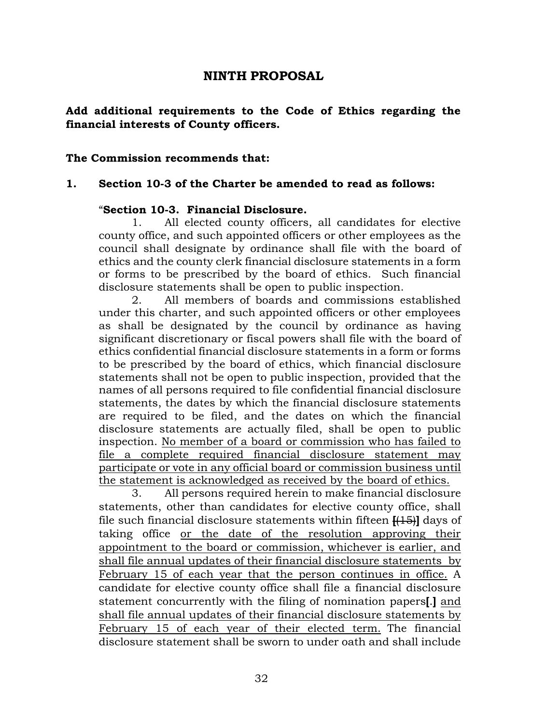# **NINTH PROPOSAL**

# <span id="page-32-1"></span><span id="page-32-0"></span>**Add additional requirements to the Code of Ethics regarding the financial interests of County officers.**

#### **The Commission recommends that:**

#### **1. Section 10-3 of the Charter be amended to read as follows:**

#### "**Section 10-3. Financial Disclosure.**

1. All elected county officers, all candidates for elective county office, and such appointed officers or other employees as the council shall designate by ordinance shall file with the board of ethics and the county clerk financial disclosure statements in a form or forms to be prescribed by the board of ethics. Such financial disclosure statements shall be open to public inspection.

2. All members of boards and commissions established under this charter, and such appointed officers or other employees as shall be designated by the council by ordinance as having significant discretionary or fiscal powers shall file with the board of ethics confidential financial disclosure statements in a form or forms to be prescribed by the board of ethics, which financial disclosure statements shall not be open to public inspection, provided that the names of all persons required to file confidential financial disclosure statements, the dates by which the financial disclosure statements are required to be filed, and the dates on which the financial disclosure statements are actually filed, shall be open to public inspection. No member of a board or commission who has failed to file a complete required financial disclosure statement may participate or vote in any official board or commission business until the statement is acknowledged as received by the board of ethics.

3. All persons required herein to make financial disclosure statements, other than candidates for elective county office, shall file such financial disclosure statements within fifteen **[**(15)**]** days of taking office or the date of the resolution approving their appointment to the board or commission, whichever is earlier, and shall file annual updates of their financial disclosure statements by February 15 of each year that the person continues in office. A candidate for elective county office shall file a financial disclosure statement concurrently with the filing of nomination papers**[**.**]** and shall file annual updates of their financial disclosure statements by February 15 of each year of their elected term. The financial disclosure statement shall be sworn to under oath and shall include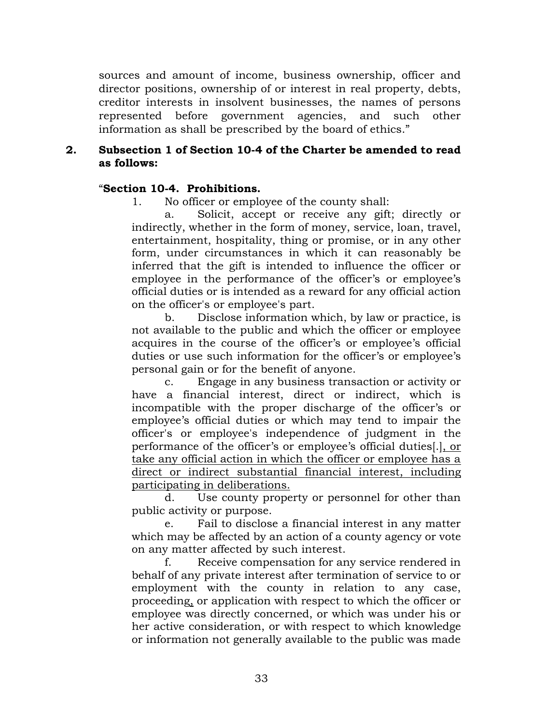sources and amount of income, business ownership, officer and director positions, ownership of or interest in real property, debts, creditor interests in insolvent businesses, the names of persons represented before government agencies, and such other information as shall be prescribed by the board of ethics."

# **2. Subsection 1 of Section 10-4 of the Charter be amended to read as follows:**

# "**Section 10-4. Prohibitions.**

1. No officer or employee of the county shall:

a. Solicit, accept or receive any gift; directly or indirectly, whether in the form of money, service, loan, travel, entertainment, hospitality, thing or promise, or in any other form, under circumstances in which it can reasonably be inferred that the gift is intended to influence the officer or employee in the performance of the officer's or employee's official duties or is intended as a reward for any official action on the officer's or employee's part.

b. Disclose information which, by law or practice, is not available to the public and which the officer or employee acquires in the course of the officer's or employee's official duties or use such information for the officer's or employee's personal gain or for the benefit of anyone.

c. Engage in any business transaction or activity or have a financial interest, direct or indirect, which is incompatible with the proper discharge of the officer's or employee's official duties or which may tend to impair the officer's or employee's independence of judgment in the performance of the officer's or employee's official duties[.], or take any official action in which the officer or employee has a direct or indirect substantial financial interest, including participating in deliberations.

d. Use county property or personnel for other than public activity or purpose.

e. Fail to disclose a financial interest in any matter which may be affected by an action of a county agency or vote on any matter affected by such interest.

f. Receive compensation for any service rendered in behalf of any private interest after termination of service to or employment with the county in relation to any case, proceeding, or application with respect to which the officer or employee was directly concerned, or which was under his or her active consideration, or with respect to which knowledge or information not generally available to the public was made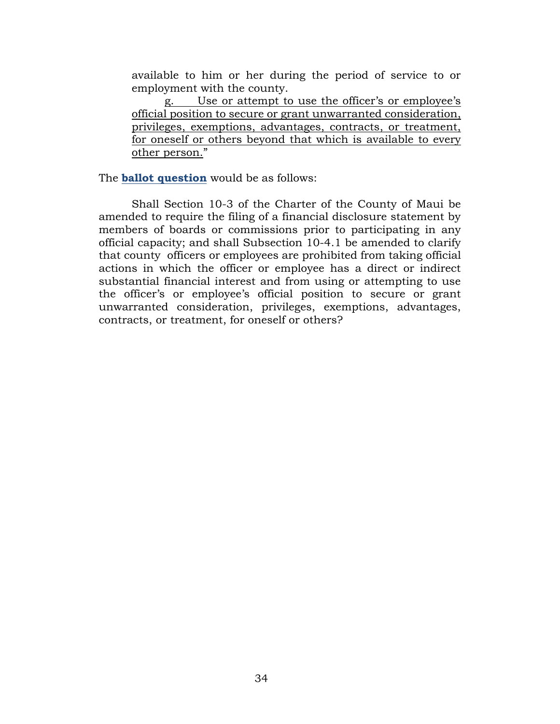available to him or her during the period of service to or employment with the county.

g. Use or attempt to use the officer's or employee's official position to secure or grant unwarranted consideration, privileges, exemptions, advantages, contracts, or treatment, for oneself or others beyond that which is available to every other person."

The **ballot question** would be as follows:

Shall Section 10-3 of the Charter of the County of Maui be amended to require the filing of a financial disclosure statement by members of boards or commissions prior to participating in any official capacity; and shall Subsection 10-4.1 be amended to clarify that county officers or employees are prohibited from taking official actions in which the officer or employee has a direct or indirect substantial financial interest and from using or attempting to use the officer's or employee's official position to secure or grant unwarranted consideration, privileges, exemptions, advantages, contracts, or treatment, for oneself or others?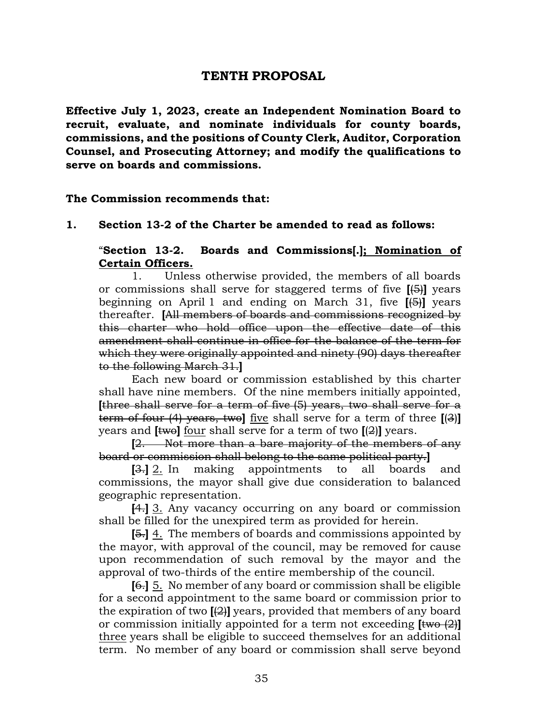# **TENTH PROPOSAL**

<span id="page-35-1"></span><span id="page-35-0"></span>**Effective July 1, 2023, create an Independent Nomination Board to recruit, evaluate, and nominate individuals for county boards, commissions, and the positions of County Clerk, Auditor, Corporation Counsel, and Prosecuting Attorney; and modify the qualifications to serve on boards and commissions.**

**The Commission recommends that:**

#### **1. Section 13-2 of the Charter be amended to read as follows:**

"**Section 13-2. Boards and Commissions[.]; Nomination of Certain Officers.**

1. Unless otherwise provided, the members of all boards or commissions shall serve for staggered terms of five **[**(5)**]** years beginning on April 1 and ending on March 31, five **[**(5)**]** years thereafter. **[**All members of boards and commissions recognized by this charter who hold office upon the effective date of this amendment shall continue in office for the balance of the term for which they were originally appointed and ninety (90) days thereafter to the following March 31.**]**

Each new board or commission established by this charter shall have nine members. Of the nine members initially appointed, **[**three shall serve for a term of five (5) years, two shall serve for a term of four (4) years, two**]** five shall serve for a term of three **[**(3)**]** years and  $[$ twol four shall serve for a term of two  $[$ ( $\frac{2}{2}$ ) $]$  years.

**[**2. Not more than a bare majority of the members of any board or commission shall belong to the same political party.**]**

**[**3.**]** 2. In making appointments to all boards and commissions, the mayor shall give due consideration to balanced geographic representation.

**[**4.**]** 3. Any vacancy occurring on any board or commission shall be filled for the unexpired term as provided for herein.

**[**5.**]** 4. The members of boards and commissions appointed by the mayor, with approval of the council, may be removed for cause upon recommendation of such removal by the mayor and the approval of two-thirds of the entire membership of the council.

**[**6.**]** 5. No member of any board or commission shall be eligible for a second appointment to the same board or commission prior to the expiration of two **[**(2)**]** years, provided that members of any board or commission initially appointed for a term not exceeding **[**two (2)**]** three years shall be eligible to succeed themselves for an additional term. No member of any board or commission shall serve beyond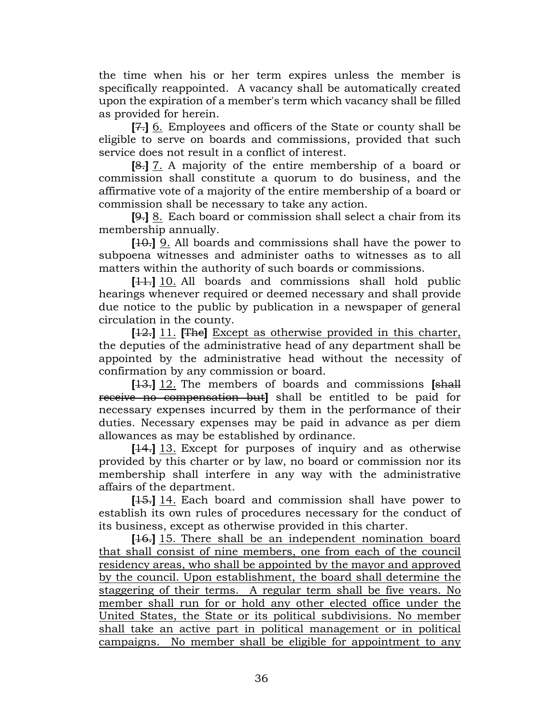the time when his or her term expires unless the member is specifically reappointed. A vacancy shall be automatically created upon the expiration of a member's term which vacancy shall be filled as provided for herein.

**[**7.**]** 6. Employees and officers of the State or county shall be eligible to serve on boards and commissions, provided that such service does not result in a conflict of interest.

**[**8.**]** 7. A majority of the entire membership of a board or commission shall constitute a quorum to do business, and the affirmative vote of a majority of the entire membership of a board or commission shall be necessary to take any action.

**[**9.**]** 8. Each board or commission shall select a chair from its membership annually.

**[**10.**]** 9. All boards and commissions shall have the power to subpoena witnesses and administer oaths to witnesses as to all matters within the authority of such boards or commissions.

**[**11.**]** 10. All boards and commissions shall hold public hearings whenever required or deemed necessary and shall provide due notice to the public by publication in a newspaper of general circulation in the county.

**[**12.**]** 11. **[**The**]** Except as otherwise provided in this charter, the deputies of the administrative head of any department shall be appointed by the administrative head without the necessity of confirmation by any commission or board.

**[**13.**]** 12. The members of boards and commissions **[**shall receive no compensation but**]** shall be entitled to be paid for necessary expenses incurred by them in the performance of their duties. Necessary expenses may be paid in advance as per diem allowances as may be established by ordinance.

**[**14.**]** 13. Except for purposes of inquiry and as otherwise provided by this charter or by law, no board or commission nor its membership shall interfere in any way with the administrative affairs of the department.

**[**15.**]** 14. Each board and commission shall have power to establish its own rules of procedures necessary for the conduct of its business, except as otherwise provided in this charter.

**[**16.**]** 15. There shall be an independent nomination board that shall consist of nine members, one from each of the council residency areas, who shall be appointed by the mayor and approved by the council. Upon establishment, the board shall determine the staggering of their terms. A regular term shall be five years. No member shall run for or hold any other elected office under the United States, the State or its political subdivisions. No member shall take an active part in political management or in political campaigns. No member shall be eligible for appointment to any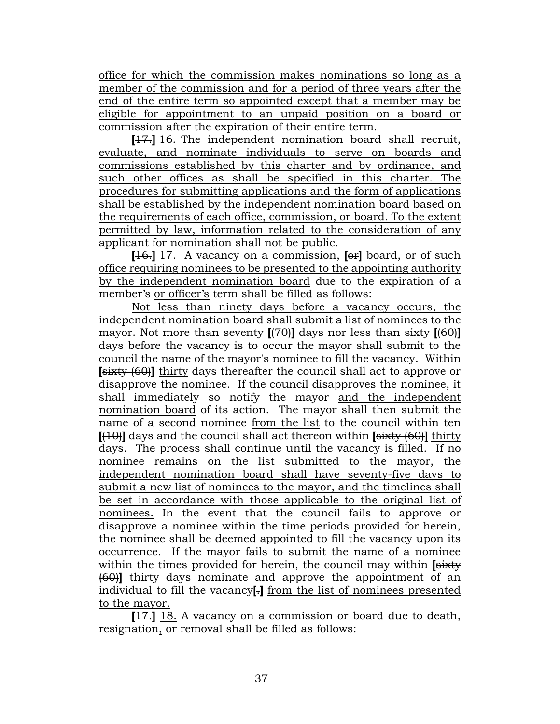office for which the commission makes nominations so long as a member of the commission and for a period of three years after the end of the entire term so appointed except that a member may be eligible for appointment to an unpaid position on a board or commission after the expiration of their entire term.

**[**17.**]** 16. The independent nomination board shall recruit, evaluate, and nominate individuals to serve on boards and commissions established by this charter and by ordinance, and such other offices as shall be specified in this charter. The procedures for submitting applications and the form of applications shall be established by the independent nomination board based on the requirements of each office, commission, or board. To the extent permitted by law, information related to the consideration of any applicant for nomination shall not be public.

**[**16.**]** 17. A vacancy on a commission, **[**or**]** board, or of such office requiring nominees to be presented to the appointing authority by the independent nomination board due to the expiration of a member's or officer's term shall be filled as follows:

Not less than ninety days before a vacancy occurs, the independent nomination board shall submit a list of nominees to the mayor. Not more than seventy **[**(70)**]** days nor less than sixty **[**(60)**]** days before the vacancy is to occur the mayor shall submit to the council the name of the mayor's nominee to fill the vacancy. Within **[**sixty (60)**]** thirty days thereafter the council shall act to approve or disapprove the nominee. If the council disapproves the nominee, it shall immediately so notify the mayor and the independent nomination board of its action. The mayor shall then submit the name of a second nominee from the list to the council within ten **[**(10)**]** days and the council shall act thereon within **[**sixty (60)**]** thirty days. The process shall continue until the vacancy is filled. If no nominee remains on the list submitted to the mayor, the independent nomination board shall have seventy-five days to submit a new list of nominees to the mayor, and the timelines shall be set in accordance with those applicable to the original list of nominees. In the event that the council fails to approve or disapprove a nominee within the time periods provided for herein, the nominee shall be deemed appointed to fill the vacancy upon its occurrence. If the mayor fails to submit the name of a nominee within the times provided for herein, the council may within **[**sixty (60)**]** thirty days nominate and approve the appointment of an individual to fill the vacancy**[**.**]** from the list of nominees presented to the mayor.

**[**17.**]** 18. A vacancy on a commission or board due to death, resignation, or removal shall be filled as follows: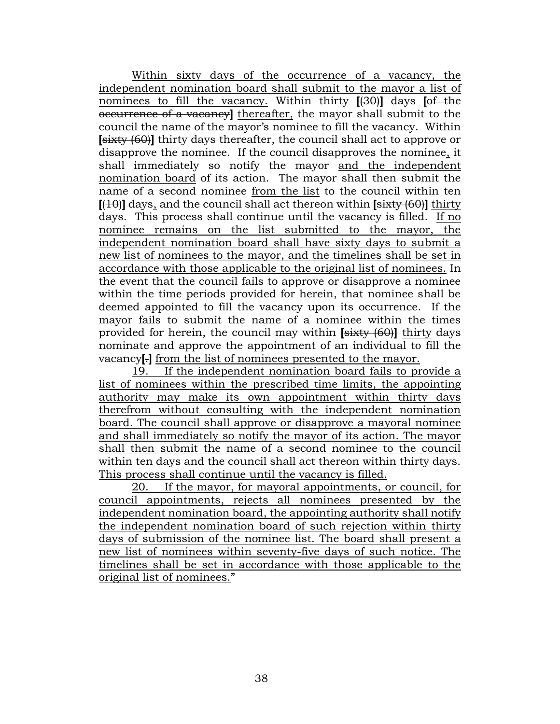Within sixty days of the occurrence of a vacancy, the independent nomination board shall submit to the mayor a list of nominees to fill the vacancy. Within thirty **[**(30)**]** days **[**of the occurrence of a vacancy**]** thereafter, the mayor shall submit to the council the name of the mayor's nominee to fill the vacancy. Within **[**sixty (60)**]** thirty days thereafter, the council shall act to approve or disapprove the nominee. If the council disapproves the nominee, it shall immediately so notify the mayor and the independent nomination board of its action. The mayor shall then submit the name of a second nominee from the list to the council within ten **[**(10)**]** days, and the council shall act thereon within **[**sixty (60)**]** thirty days. This process shall continue until the vacancy is filled. If no nominee remains on the list submitted to the mayor, the independent nomination board shall have sixty days to submit a new list of nominees to the mayor, and the timelines shall be set in accordance with those applicable to the original list of nominees. In the event that the council fails to approve or disapprove a nominee within the time periods provided for herein, that nominee shall be deemed appointed to fill the vacancy upon its occurrence. If the mayor fails to submit the name of a nominee within the times provided for herein, the council may within **[**sixty (60)**]** thirty days nominate and approve the appointment of an individual to fill the vacancy**[**.**]** from the list of nominees presented to the mayor.

19. If the independent nomination board fails to provide a list of nominees within the prescribed time limits, the appointing authority may make its own appointment within thirty days therefrom without consulting with the independent nomination board. The council shall approve or disapprove a mayoral nominee and shall immediately so notify the mayor of its action. The mayor shall then submit the name of a second nominee to the council within ten days and the council shall act thereon within thirty days. This process shall continue until the vacancy is filled.

20. If the mayor, for mayoral appointments, or council, for council appointments, rejects all nominees presented by the independent nomination board, the appointing authority shall notify the independent nomination board of such rejection within thirty days of submission of the nominee list. The board shall present a new list of nominees within seventy-five days of such notice. The timelines shall be set in accordance with those applicable to the original list of nominees."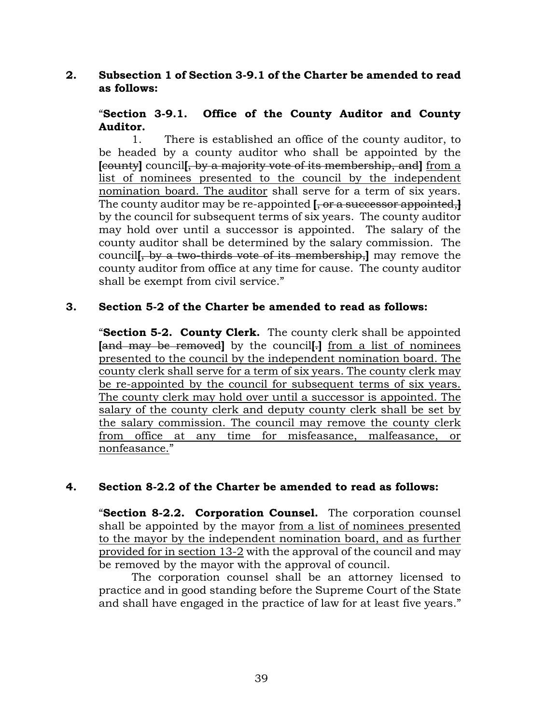# **2. Subsection 1 of Section 3-9.1 of the Charter be amended to read as follows:**

# "**Section 3-9.1. Office of the County Auditor and County Auditor.**

1. There is established an office of the county auditor, to be headed by a county auditor who shall be appointed by the **[**county**]** council**[**, by a majority vote of its membership, and**]** from a list of nominees presented to the council by the independent nomination board. The auditor shall serve for a term of six years. The county auditor may be re-appointed **[**, or a successor appointed,**]** by the council for subsequent terms of six years. The county auditor may hold over until a successor is appointed. The salary of the county auditor shall be determined by the salary commission. The council**[**, by a two-thirds vote of its membership,**]** may remove the county auditor from office at any time for cause. The county auditor shall be exempt from civil service."

# **3. Section 5-2 of the Charter be amended to read as follows:**

"**Section 5-2. County Clerk.** The county clerk shall be appointed **[**and may be removed**]** by the council**[**.**]** from a list of nominees presented to the council by the independent nomination board. The county clerk shall serve for a term of six years. The county clerk may be re-appointed by the council for subsequent terms of six years. The county clerk may hold over until a successor is appointed. The salary of the county clerk and deputy county clerk shall be set by the salary commission. The council may remove the county clerk from office at any time for misfeasance, malfeasance, or nonfeasance."

# **4. Section 8-2.2 of the Charter be amended to read as follows:**

"**Section 8-2.2. Corporation Counsel.** The corporation counsel shall be appointed by the mayor from a list of nominees presented to the mayor by the independent nomination board, and as further provided for in section 13-2 with the approval of the council and may be removed by the mayor with the approval of council.

The corporation counsel shall be an attorney licensed to practice and in good standing before the Supreme Court of the State and shall have engaged in the practice of law for at least five years."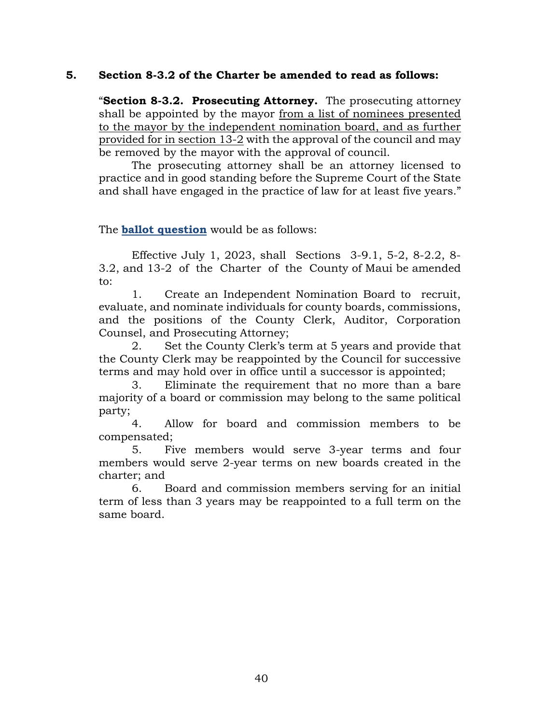## **5. Section 8-3.2 of the Charter be amended to read as follows:**

"**Section 8-3.2. Prosecuting Attorney.** The prosecuting attorney shall be appointed by the mayor from a list of nominees presented to the mayor by the independent nomination board, and as further provided for in section 13-2 with the approval of the council and may be removed by the mayor with the approval of council.

The prosecuting attorney shall be an attorney licensed to practice and in good standing before the Supreme Court of the State and shall have engaged in the practice of law for at least five years."

The **ballot question** would be as follows:

Effective July 1, 2023, shall Sections 3-9.1, 5-2, 8-2.2, 8- 3.2, and 13-2 of the Charter of the County of Maui be amended to:

1. Create an Independent Nomination Board to recruit, evaluate, and nominate individuals for county boards, commissions, and the positions of the County Clerk, Auditor, Corporation Counsel, and Prosecuting Attorney;

2. Set the County Clerk's term at 5 years and provide that the County Clerk may be reappointed by the Council for successive terms and may hold over in office until a successor is appointed;

3. Eliminate the requirement that no more than a bare majority of a board or commission may belong to the same political party;

4. Allow for board and commission members to be compensated;

5. Five members would serve 3-year terms and four members would serve 2-year terms on new boards created in the charter; and

6. Board and commission members serving for an initial term of less than 3 years may be reappointed to a full term on the same board.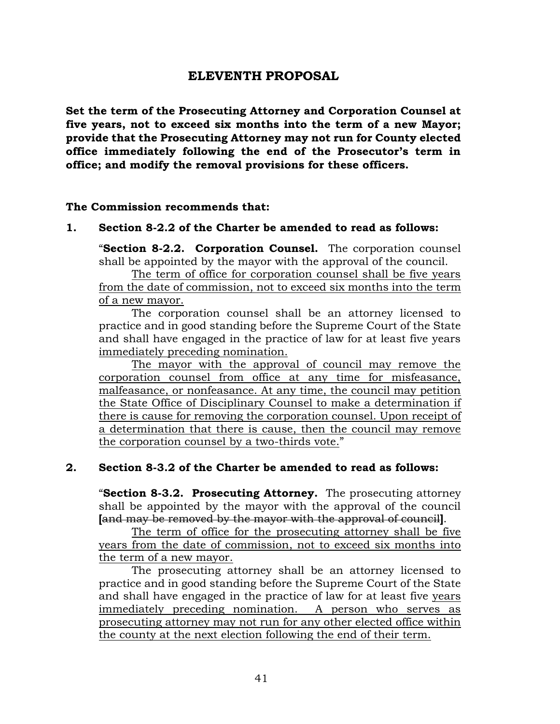# **ELEVENTH PROPOSAL**

<span id="page-41-1"></span><span id="page-41-0"></span>**Set the term of the Prosecuting Attorney and Corporation Counsel at five years, not to exceed six months into the term of a new Mayor; provide that the Prosecuting Attorney may not run for County elected office immediately following the end of the Prosecutor's term in office; and modify the removal provisions for these officers.** 

#### **The Commission recommends that:**

#### **1. Section 8-2.2 of the Charter be amended to read as follows:**

"**Section 8-2.2. Corporation Counsel.** The corporation counsel shall be appointed by the mayor with the approval of the council.

The term of office for corporation counsel shall be five years from the date of commission, not to exceed six months into the term of a new mayor.

The corporation counsel shall be an attorney licensed to practice and in good standing before the Supreme Court of the State and shall have engaged in the practice of law for at least five years immediately preceding nomination.

The mayor with the approval of council may remove the corporation counsel from office at any time for misfeasance, malfeasance, or nonfeasance. At any time, the council may petition the State Office of Disciplinary Counsel to make a determination if there is cause for removing the corporation counsel. Upon receipt of a determination that there is cause, then the council may remove the corporation counsel by a two-thirds vote."

#### **2. Section 8-3.2 of the Charter be amended to read as follows:**

"**Section 8-3.2. Prosecuting Attorney.** The prosecuting attorney shall be appointed by the mayor with the approval of the council **[**and may be removed by the mayor with the approval of council**]**.

The term of office for the prosecuting attorney shall be five years from the date of commission, not to exceed six months into the term of a new mayor.

The prosecuting attorney shall be an attorney licensed to practice and in good standing before the Supreme Court of the State and shall have engaged in the practice of law for at least five years immediately preceding nomination. A person who serves as prosecuting attorney may not run for any other elected office within the county at the next election following the end of their term.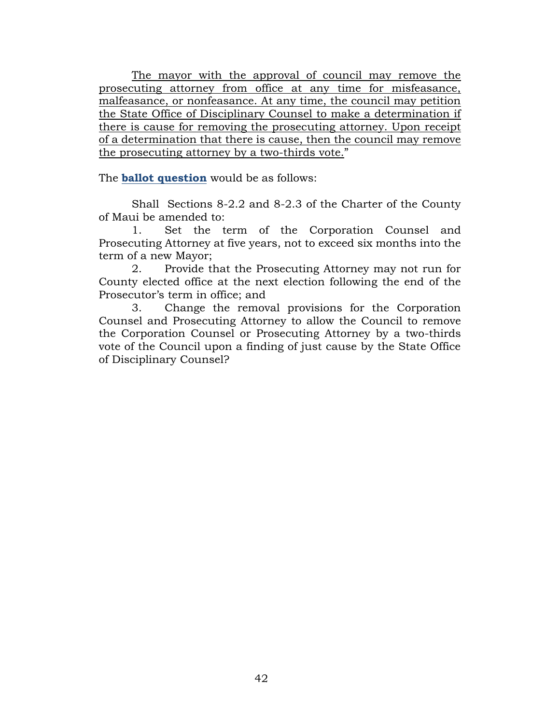The mayor with the approval of council may remove the prosecuting attorney from office at any time for misfeasance, malfeasance, or nonfeasance. At any time, the council may petition the State Office of Disciplinary Counsel to make a determination if there is cause for removing the prosecuting attorney. Upon receipt of a determination that there is cause, then the council may remove the prosecuting attorney by a two-thirds vote."

The **ballot question** would be as follows:

Shall Sections 8-2.2 and 8-2.3 of the Charter of the County of Maui be amended to:

1. Set the term of the Corporation Counsel and Prosecuting Attorney at five years, not to exceed six months into the term of a new Mayor;

2. Provide that the Prosecuting Attorney may not run for County elected office at the next election following the end of the Prosecutor's term in office; and

3. Change the removal provisions for the Corporation Counsel and Prosecuting Attorney to allow the Council to remove the Corporation Counsel or Prosecuting Attorney by a two-thirds vote of the Council upon a finding of just cause by the State Office of Disciplinary Counsel?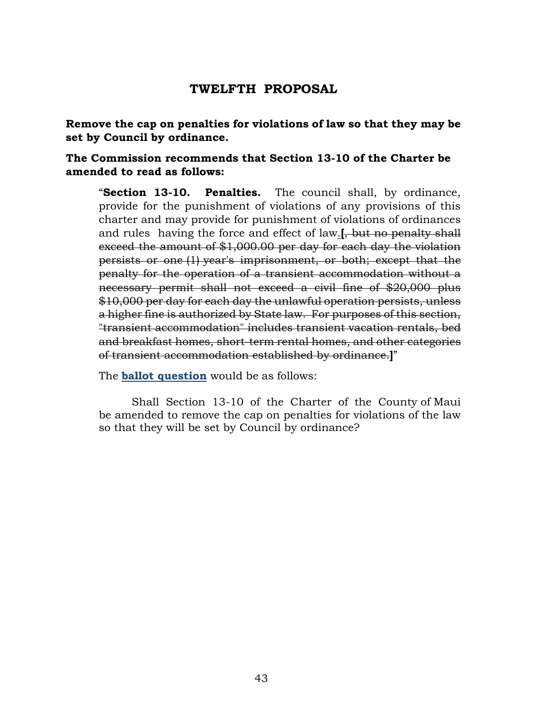# <span id="page-43-0"></span>**TWELFTH PROPOSAL**

<span id="page-43-1"></span>**Remove the cap on penalties for violations of law so that they may be set by Council by ordinance.**

# **The Commission recommends that Section 13-10 of the Charter be amended to read as follows:**

"**Section 13-10. Penalties.** The council shall, by ordinance, provide for the punishment of violations of any provisions of this charter and may provide for punishment of violations of ordinances and rules having the force and effect of law.**[**, but no penalty shall exceed the amount of \$1,000.00 per day for each day the violation persists or one (1) year's imprisonment, or both; except that the penalty for the operation of a transient accommodation without a necessary permit shall not exceed a civil fine of \$20,000 plus \$10,000 per day for each day the unlawful operation persists, unless a higher fine is authorized by State law. For purposes of this section, "transient accommodation" includes transient vacation rentals, bed and breakfast homes, short-term rental homes, and other categories of transient accommodation established by ordinance.**]**"

The **ballot question** would be as follows:

Shall Section 13-10 of the Charter of the County of Maui be amended to remove the cap on penalties for violations of the law so that they will be set by Council by ordinance?